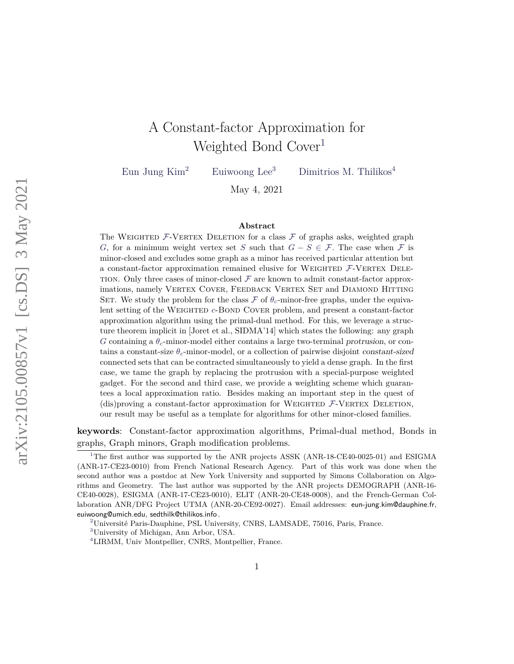# A Constant-factor Approximation for Weighted Bond Cover<sup>1</sup>

Eun Jung Kim<sup>2</sup> Euiwoong Lee<sup>3</sup> Dimitrios M. Thilikos<sup>4</sup>

May 4, 2021

#### **Abstract**

The WEIGHTED  $F$ -VERTEX DELETION for a class  $F$  of graphs asks, weighted graph *G*, for a minimum weight vertex set *S* such that  $G - S \in \mathcal{F}$ . The case when  $\mathcal F$  is minor-closed and excludes some graph as a minor has received particular attention but a constant-factor approximation remained elusive for WEIGHTED  $F$ -VERTEX DELE-TION. Only three cases of minor-closed  $\mathcal F$  are known to admit constant-factor approximations, namely VERTEX COVER, FEEDBACK VERTEX SET and DIAMOND HITTING SET. We study the problem for the class  $\mathcal F$  of  $\theta_c$ -minor-free graphs, under the equivalent setting of the WEIGHTED *c*-BOND COVER problem, and present a constant-factor approximation algorithm using the primal-dual method. For this, we leverage a structure theorem implicit in [Joret et al., SIDMA'14] which states the following: any graph *G* containing a *θc*-minor-model either contains a large two-terminal protrusion, or contains a constant-size *θc*-minor-model, or a collection of pairwise disjoint constant-sized connected sets that can be contracted simultaneously to yield a dense graph. In the first case, we tame the graph by replacing the protrusion with a special-purpose weighted gadget. For the second and third case, we provide a weighting scheme which guarantees a local approximation ratio. Besides making an important step in the quest of (dis)proving a constant-factor approximation for WEIGHTED  $F$ -VERTEX DELETION, our result may be useful as a template for algorithms for other minor-closed families.

**keywords**: Constant-factor approximation algorithms, Primal-dual method, Bonds in graphs, Graph minors, Graph modification problems.

<sup>&</sup>lt;sup>1</sup>The first author was supported by the ANR projects ASSK (ANR-18-CE40-0025-01) and ESIGMA (ANR-17-CE23-0010) from French National Research Agency. Part of this work was done when the second author was a postdoc at New York University and supported by Simons Collaboration on Algorithms and Geometry. The last author was supported by the ANR projects DEMOGRAPH (ANR-16- CE40-0028), ESIGMA (ANR-17-CE23-0010), ELIT (ANR-20-CE48-0008), and the French-German Collaboration ANR/DFG Project UTMA (ANR-20-CE92-0027). Email addresses: eun-jung.kim@dauphine.fr, euiwoong@umich.edu, sedthilk@thilikos.info .

<sup>2</sup>Université Paris-Dauphine, PSL University, CNRS, LAMSADE, 75016, Paris, France.

<sup>3</sup>University of Michigan, Ann Arbor, USA.

<sup>4</sup>LIRMM, Univ Montpellier, CNRS, Montpellier, France.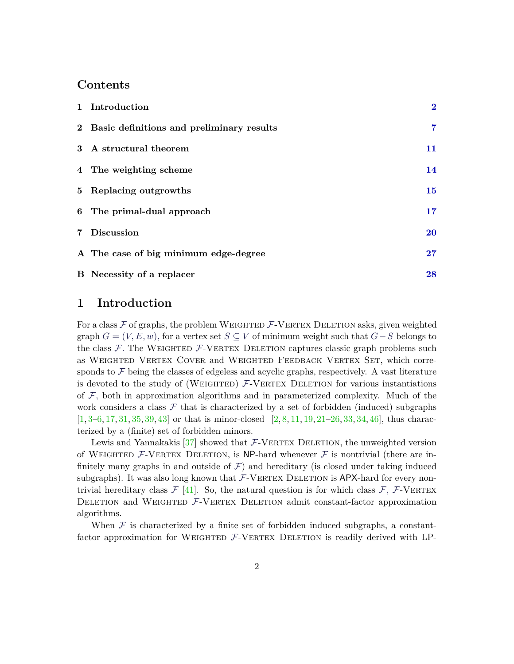#### **Contents**

| 1 Introduction                              | $\mathbf{2}$ |
|---------------------------------------------|--------------|
| 2 Basic definitions and preliminary results | 7            |
| 3 A structural theorem                      | 11           |
| 4 The weighting scheme                      | 14           |
| 5 Replacing outgrowths                      | 15           |
| 6 The primal-dual approach                  | 17           |
| 7 Discussion                                | <b>20</b>    |
| A The case of big minimum edge-degree       | 27           |
| <b>B</b> Necessity of a replacer            | 28           |

#### <span id="page-1-0"></span>**1 Introduction**

For a class  $\mathcal F$  of graphs, the problem WEIGHTED  $\mathcal F$ -VERTEX DELETION asks, given weighted graph  $G = (V, E, w)$ , for a vertex set  $S \subseteq V$  of minimum weight such that  $G - S$  belongs to the class  $\mathcal{F}$ . The WEIGHTED  $\mathcal{F}$ -VERTEX DELETION captures classic graph problems such as Weighted Vertex Cover and Weighted Feedback Vertex Set, which corresponds to  $\mathcal F$  being the classes of edgeless and acyclic graphs, respectively. A vast literature is devoted to the study of (WEIGHTED)  $F$ -VERTEX DELETION for various instantiations of  $F$ , both in approximation algorithms and in parameterized complexity. Much of the work considers a class  $\mathcal F$  that is characterized by a set of forbidden (induced) subgraphs  $[1, 3-6, 17, 31, 35, 39, 43]$  $[1, 3-6, 17, 31, 35, 39, 43]$  $[1, 3-6, 17, 31, 35, 39, 43]$  $[1, 3-6, 17, 31, 35, 39, 43]$  $[1, 3-6, 17, 31, 35, 39, 43]$  $[1, 3-6, 17, 31, 35, 39, 43]$  $[1, 3-6, 17, 31, 35, 39, 43]$  $[1, 3-6, 17, 31, 35, 39, 43]$  $[1, 3-6, 17, 31, 35, 39, 43]$  $[1, 3-6, 17, 31, 35, 39, 43]$  $[1, 3-6, 17, 31, 35, 39, 43]$  $[1, 3-6, 17, 31, 35, 39, 43]$  $[1, 3-6, 17, 31, 35, 39, 43]$  or that is minor-closed  $[2, 8, 11, 19, 21-26, 33, 34, 46]$  $[2, 8, 11, 19, 21-26, 33, 34, 46]$  $[2, 8, 11, 19, 21-26, 33, 34, 46]$  $[2, 8, 11, 19, 21-26, 33, 34, 46]$  $[2, 8, 11, 19, 21-26, 33, 34, 46]$  $[2, 8, 11, 19, 21-26, 33, 34, 46]$  $[2, 8, 11, 19, 21-26, 33, 34, 46]$  $[2, 8, 11, 19, 21-26, 33, 34, 46]$  $[2, 8, 11, 19, 21-26, 33, 34, 46]$  $[2, 8, 11, 19, 21-26, 33, 34, 46]$  $[2, 8, 11, 19, 21-26, 33, 34, 46]$  $[2, 8, 11, 19, 21-26, 33, 34, 46]$  $[2, 8, 11, 19, 21-26, 33, 34, 46]$  $[2, 8, 11, 19, 21-26, 33, 34, 46]$  $[2, 8, 11, 19, 21-26, 33, 34, 46]$ , thus characterized by a (finite) set of forbidden minors.

Lewis and Yannakakis  $[37]$  showed that  $\mathcal{F}\text{-}\text{VERTEX}$  DELETION, the unweighted version of WEIGHTED  $\mathcal{F}\text{-}\mathsf{VERTEN}$  DELETION, is NP-hard whenever  $\mathcal F$  is nontrivial (there are infinitely many graphs in and outside of  $\mathcal F$ ) and hereditary (is closed under taking induced subgraphs). It was also long known that  $\mathcal{F}\text{-}\text{VERTEX}$  DELETION is APX-hard for every nontrivial hereditary class  $\mathcal{F}$  [\[41\]](#page-25-2). So, the natural question is for which class  $\mathcal{F}$ ,  $\mathcal{F}\text{-}\text{VERTEX}$ DELETION and WEIGHTED  $F$ -VERTEX DELETION admit constant-factor approximation algorithms.

When  $\mathcal F$  is characterized by a finite set of forbidden induced subgraphs, a constantfactor approximation for WEIGHTED  $F$ -VERTEX DELETION is readily derived with LP-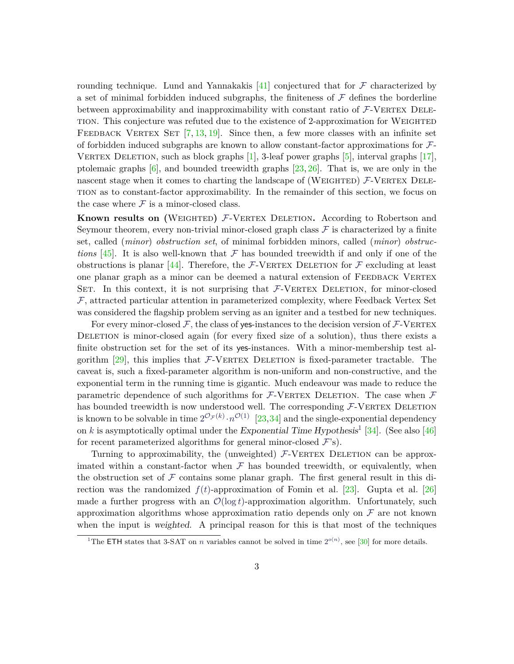rounding technique. Lund and Yannakakis  $[41]$  conjectured that for  $\mathcal F$  characterized by a set of minimal forbidden induced subgraphs, the finiteness of  $\mathcal F$  defines the borderline between approximability and inapproximability with constant ratio of  $F$ -VERTEX DELEtion. This conjecture was refuted due to the existence of 2-approximation for Weighted FEEDBACK VERTEX SET  $[7, 13, 19]$  $[7, 13, 19]$  $[7, 13, 19]$  $[7, 13, 19]$  $[7, 13, 19]$ . Since then, a few more classes with an infinite set of forbidden induced subgraphs are known to allow constant-factor approximations for  $\mathcal{F}$ -VERTEX DELETION, such as block graphs  $[1]$ , 3-leaf power graphs  $[5]$ , interval graphs  $[17]$ , ptolemaic graphs  $[6]$ , and bounded treewidth graphs  $[23, 26]$  $[23, 26]$  $[23, 26]$ . That is, we are only in the nascent stage when it comes to charting the landscape of (WEIGHTED)  $F$ -VERTEX DELEtion as to constant-factor approximability. In the remainder of this section, we focus on the case where  $\mathcal F$  is a minor-closed class.

**Known results on (WEIGHTED)**  $F$ **-VERTEX DELETION. According to Robertson and** Seymour theorem, every non-trivial minor-closed graph class  $\mathcal F$  is characterized by a finite set, called (*minor*) *obstruction set*, of minimal forbidden minors, called (*minor*) *obstructions* [\[45\]](#page-25-3). It is also well-known that  $\mathcal F$  has bounded treewidth if and only if one of the obstructions is planar [\[44\]](#page-25-4). Therefore, the  $\mathcal{F}\text{-}\text{VERTEX}$  DELETION for  $\mathcal{F}$  excluding at least one planar graph as a minor can be deemed a natural extension of FEEDBACK VERTEX SET. In this context, it is not surprising that  $F$ -VERTEX DELETION, for minor-closed  $\mathcal{F}$ , attracted particular attention in parameterized complexity, where Feedback Vertex Set was considered the flagship problem serving as an igniter and a testbed for new techniques.

For every minor-closed  $F$ , the class of yes-instances to the decision version of  $F$ -VERTEX DELETION is minor-closed again (for every fixed size of a solution), thus there exists a finite obstruction set for the set of its yes-instances. With a minor-membership test algorithm  $[29]$ , this implies that  $F$ -VERTEX DELETION is fixed-parameter tractable. The caveat is, such a fixed-parameter algorithm is non-uniform and non-constructive, and the exponential term in the running time is gigantic. Much endeavour was made to reduce the parametric dependence of such algorithms for  $F$ -VERTEX DELETION. The case when  $F$ has bounded treewidth is now understood well. The corresponding  $F$ -VERTEX DELETION is known to be solvable in time  $2^{\mathcal{O}_{\mathcal{F}}(k)} \cdot n^{\mathcal{O}(1)}$  [\[23,](#page-23-3)[34\]](#page-24-4) and the single-exponential dependency on *k* is asymptotically optimal under the Exponential Time Hypothesis<sup>[1](#page-2-0)</sup> [\[34\]](#page-24-4). (See also [\[46\]](#page-25-1) for recent parameterized algorithms for general minor-closed  $\mathcal{F}$ 's).

Turning to approximability, the (unweighted)  $F$ -VERTEX DELETION can be approximated within a constant-factor when  $\mathcal F$  has bounded treewidth, or equivalently, when the obstruction set of  $\mathcal F$  contains some planar graph. The first general result in this direction was the randomized  $f(t)$ -approximation of Fomin et al. [\[23\]](#page-23-3). Gupta et al. [\[26\]](#page-23-2) made a further progress with an  $\mathcal{O}(\log t)$ -approximation algorithm. Unfortunately, such approximation algorithms whose approximation ratio depends only on  $\mathcal F$  are not known when the input is weighted. A principal reason for this is that most of the techniques

<span id="page-2-0"></span><sup>&</sup>lt;sup>1</sup>The ETH states that 3-SAT on *n* variables cannot be solved in time  $2^{o(n)}$ , see [\[30\]](#page-24-7) for more details.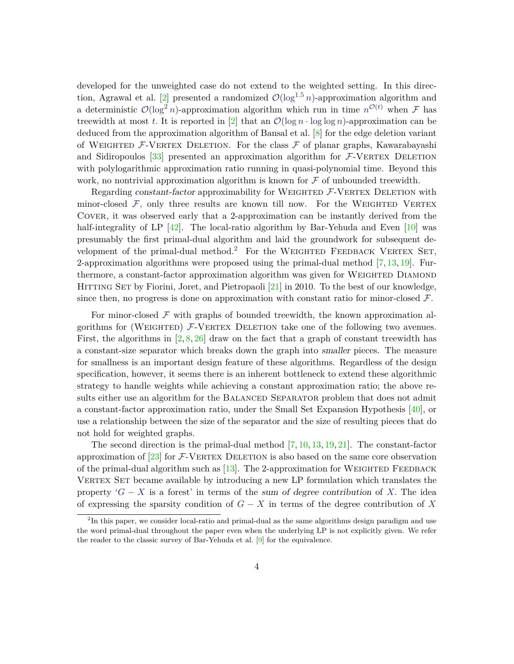developed for the unweighted case do not extend to the weighted setting. In this direc-tion, Agrawal et al. [\[2\]](#page-21-3) presented a randomized  $\mathcal{O}(\log^{1.5} n)$ -approximation algorithm and a deterministic  $\mathcal{O}(\log^2 n)$ -approximation algorithm which run in time  $n^{\mathcal{O}(t)}$  when F has treewidth at most *t*. It is reported in [\[2\]](#page-21-3) that an  $\mathcal{O}(\log n \cdot \log \log n)$ -approximation can be deduced from the approximation algorithm of Bansal et al. [\[8\]](#page-22-1) for the edge deletion variant of WEIGHTED  $F$ -VERTEX DELETION. For the class  $F$  of planar graphs, Kawarabayashi and Sidiropoulos  $[33]$  presented an approximation algorithm for  $F$ -VERTEX DELETION with polylogarithmic approximation ratio running in quasi-polynomial time. Beyond this work, no nontrivial approximation algorithm is known for  $\mathcal F$  of unbounded treewidth.

Regarding constant-factor approximability for WEIGHTED  $\mathcal{F}\text{-}\text{VERTEX}$  DELETION with minor-closed  $F$ , only three results are known till now. For the WEIGHTED VERTEX Cover, it was observed early that a 2-approximation can be instantly derived from the half-integrality of LP  $[42]$ . The local-ratio algorithm by Bar-Yehuda and Even  $[10]$  was presumably the first primal-dual algorithm and laid the groundwork for subsequent de-velopment of the primal-dual method.<sup>[2](#page-3-0)</sup> For the WEIGHTED FEEDBACK VERTEX SET, 2-approximation algorithms were proposed using the primal-dual method  $[7, 13, 19]$  $[7, 13, 19]$  $[7, 13, 19]$  $[7, 13, 19]$  $[7, 13, 19]$ . Furthermore, a constant-factor approximation algorithm was given for WEIGHTED DIAMOND HITTING SET by Fiorini, Joret, and Pietropaoli [\[21\]](#page-23-1) in 2010. To the best of our knowledge, since then, no progress is done on approximation with constant ratio for minor-closed F*.*

For minor-closed  $\mathcal F$  with graphs of bounded treewidth, the known approximation algorithms for (WEIGHTED)  $F$ -VERTEX DELETION take one of the following two avenues. First, the algorithms in  $[2, 8, 26]$  $[2, 8, 26]$  $[2, 8, 26]$  $[2, 8, 26]$  $[2, 8, 26]$  draw on the fact that a graph of constant treewidth has a constant-size separator which breaks down the graph into smaller pieces. The measure for smallness is an important design feature of these algorithms. Regardless of the design specification, however, it seems there is an inherent bottleneck to extend these algorithmic strategy to handle weights while achieving a constant approximation ratio; the above results either use an algorithm for the BALANCED SEPARATOR problem that does not admit a constant-factor approximation ratio, under the Small Set Expansion Hypothesis [\[40\]](#page-25-6), or use a relationship between the size of the separator and the size of resulting pieces that do not hold for weighted graphs.

The second direction is the primal-dual method  $[7, 10, 13, 19, 21]$  $[7, 10, 13, 19, 21]$  $[7, 10, 13, 19, 21]$  $[7, 10, 13, 19, 21]$  $[7, 10, 13, 19, 21]$  $[7, 10, 13, 19, 21]$  $[7, 10, 13, 19, 21]$  $[7, 10, 13, 19, 21]$  $[7, 10, 13, 19, 21]$ . The constant-factor approximation of  $[23]$  for  $\mathcal{F}\text{-}\text{VERTEX}$  DELETION is also based on the same core observation of the primal-dual algorithm such as  $[13]$ . The 2-approximation for WEIGHTED FEEDBACK VERTEX SET became available by introducing a new LP formulation which translates the property  $G - X$  is a forest' in terms of the sum of degree contribution of X. The idea of expressing the sparsity condition of *G* − *X* in terms of the degree contribution of *X*

<span id="page-3-0"></span><sup>&</sup>lt;sup>2</sup>In this paper, we consider local-ratio and primal-dual as the same algorithms design paradigm and use the word primal-dual throughout the paper even when the underlying LP is not explicitly given. We refer the reader to the classic survey of Bar-Yehuda et al. [\[9\]](#page-22-5) for the equivalence.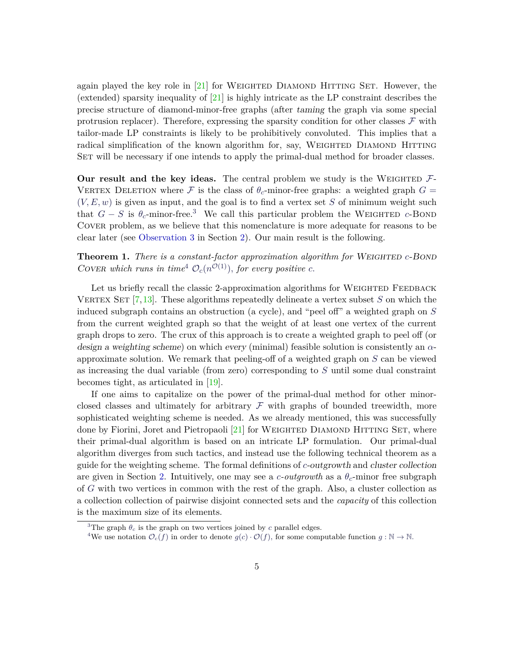again played the key role in  $[21]$  for WEIGHTED DIAMOND HITTING SET. However, the (extended) sparsity inequality of  $[21]$  is highly intricate as the LP constraint describes the precise structure of diamond-minor-free graphs (after taming the graph via some special protrusion replacer). Therefore, expressing the sparsity condition for other classes  $\mathcal F$  with tailor-made LP constraints is likely to be prohibitively convoluted. This implies that a radical simplification of the known algorithm for, say, WEIGHTED DIAMOND HITTING SET will be necessary if one intends to apply the primal-dual method for broader classes.

**Our result and the key ideas.** The central problem we study is the WEIGHTED  $\mathcal{F}$ -VERTEX DELETION where F is the class of  $\theta_c$ -minor-free graphs: a weighted graph  $G =$  $(V, E, w)$  is given as input, and the goal is to find a vertex set *S* of minimum weight such that  $G - S$  is  $\theta_c$ -minor-free.<sup>[3](#page-4-0)</sup> We call this particular problem the WEIGHTED *c*-BOND Cover problem, as we believe that this nomenclature is more adequate for reasons to be clear later (see [Observation 3](#page-7-0) in Section [2\)](#page-6-0). Our main result is the following.

**Theorem 1.** *There is a constant-factor approximation algorithm for* WEIGHTED *c*-BOND COVER which runs in time<sup>[4](#page-4-1)</sup>  $\mathcal{O}_c(n^{\mathcal{O}(1)})$ , for every positive *c*.

Let us briefly recall the classic 2-approximation algorithms for WEIGHTED FEEDBACK VERTEX SET  $[7,13]$  $[7,13]$ . These algorithms repeatedly delineate a vertex subset *S* on which the induced subgraph contains an obstruction (a cycle), and "peel off" a weighted graph on *S* from the current weighted graph so that the weight of at least one vertex of the current graph drops to zero. The crux of this approach is to create a weighted graph to peel off (or design a weighting scheme) on which every (minimal) feasible solution is consistently an *α*approximate solution. We remark that peeling-off of a weighted graph on *S* can be viewed as increasing the dual variable (from zero) corresponding to *S* until some dual constraint becomes tight, as articulated in [\[19\]](#page-23-0).

If one aims to capitalize on the power of the primal-dual method for other minorclosed classes and ultimately for arbitrary  $\mathcal F$  with graphs of bounded treewidth, more sophisticated weighting scheme is needed. As we already mentioned, this was successfully done by Fiorini, Joret and Pietropaoli  $[21]$  for WEIGHTED DIAMOND HITTING SET, where their primal-dual algorithm is based on an intricate LP formulation. Our primal-dual algorithm diverges from such tactics, and instead use the following technical theorem as a guide for the weighting scheme. The formal definitions of *c*-outgrowth and cluster collection are given in Section [2.](#page-6-0) Intuitively, one may see a *c*-*outgrowth* as a  $\theta_c$ -minor free subgraph of *G* with two vertices in common with the rest of the graph. Also, a cluster collection as a collection collection of pairwise disjoint connected sets and the *capacity* of this collection is the maximum size of its elements.

<span id="page-4-2"></span><span id="page-4-0"></span><sup>&</sup>lt;sup>3</sup>The graph  $\theta_c$  is the graph on two vertices joined by *c* parallel edges.

<span id="page-4-1"></span><sup>&</sup>lt;sup>4</sup>We use notation  $\mathcal{O}_c(f)$  in order to denote  $g(c) \cdot \mathcal{O}(f)$ , for some computable function  $g : \mathbb{N} \to \mathbb{N}$ .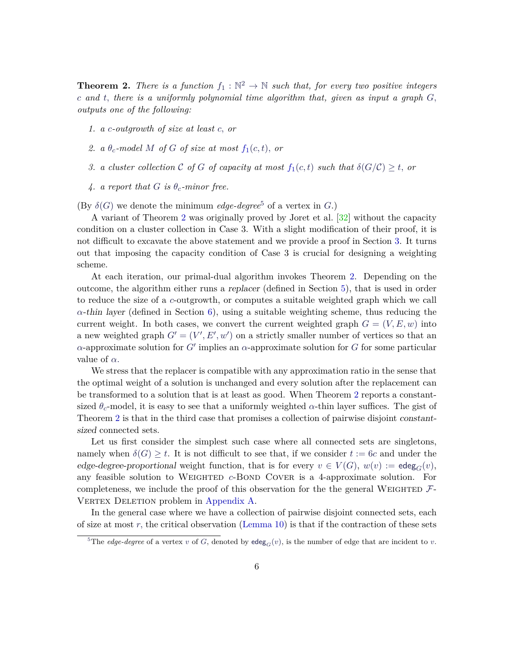**Theorem 2.** There is a function  $f_1 : \mathbb{N}^2 \to \mathbb{N}$  such that, for every two positive integers *c and t, there is a uniformly polynomial time algorithm that, given as input a graph G, outputs one of the following:*

- <span id="page-5-0"></span>*1. a c-outgrowth of size at least c, or*
- 2. *a*  $\theta_c$ -model M o[f](#page-5-0) G of size at most  $f_1(c,t)$ , or
- *3. a cluster collection*  $C$  *o[f](#page-5-0)*  $G$  *of capacity at most*  $f_1(c,t)$  *such that*  $\delta(G/C) \geq t$ , *or*
- *4. a report that G is*  $\theta_c$ -minor free.

(By  $\delta(G)$  we denote the minimum *edge-degree*<sup>[5](#page-5-1)</sup> of a vertex in *G*.)

A variant of Theorem [2](#page-4-2) was originally proved by Joret et al. [\[32\]](#page-24-8) without the capacity condition on a cluster collection in Case 3. With a slight modification of their proof, it is not difficult to excavate the above statement and we provide a proof in Section [3.](#page-10-0) It turns out that imposing the capacity condition of Case 3 is crucial for designing a weighting scheme.

At each iteration, our primal-dual algorithm invokes Theorem [2.](#page-4-2) Depending on the outcome, the algorithm either runs a replacer (defined in Section [5\)](#page-14-0), that is used in order to reduce the size of a *c*-outgrowth, or computes a suitable weighted graph which we call  $\alpha$ -thin layer (defined in Section [6\)](#page-16-0), using a suitable weighting scheme, thus reducing the current weight. In both cases, we convert the current weighted graph  $G = (V, E, w)$  into a new weighted graph  $G' = (V', E', w')$  on a strictly smaller number of vertices so that an  $\alpha$ -approximate solution for *G'* implies an  $\alpha$ -approximate solution for *G* for some particular value of *α.*

We stress that the replacer is compatible with any approximation ratio in the sense that the optimal weight of a solution is unchanged and every solution after the replacement can be transformed to a solution that is at least as good. When Theorem [2](#page-4-2) reports a constantsized  $\theta_c$ -model, it is easy to see that a uniformly weighted  $\alpha$ -thin layer suffices. The gist of Theorem [2](#page-4-2) is that in the third case that promises a collection of pairwise disjoint constantsized connected sets.

Let us first consider the simplest such case where all connected sets are singletons, namely when  $\delta(G) \geq t$ . It is not difficult to see that, if we consider  $t := 6c$  and under the edge-degree-proportional weight function, that is for every  $v \in V(G)$ ,  $w(v) := \text{edge}_{G}(v)$ , any feasible solution to Weighted *c*-Bond Cover is a 4-approximate solution. For completeness, we include the proof of this observation for the the general WEIGHTED  $\mathcal{F}$ -VERTEX DELETION problem in [Appendix A.](#page-26-0)

In the general case where we have a collection of pairwise disjoint connected sets, each of size at most *r,* the critical observation [\(Lemma 10\)](#page-13-1) is that if the contraction of these sets

<span id="page-5-1"></span><sup>&</sup>lt;sup>5</sup>The *edge-degree* of a vertex *v* of *G*, denoted by  $\text{edge}_{G}(v)$ , is the number of edge that are incident to *v*.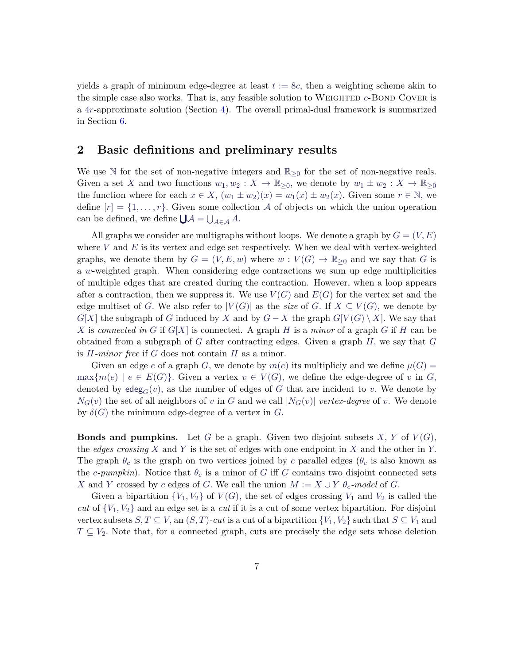yields a graph of minimum edge-degree at least  $t := 8c$ , then a weighting scheme akin to the simple case also works. That is, any feasible solution to WEIGHTED *c*-BOND COVER is a 4*r*-approximate solution (Section [4\)](#page-13-0). The overall primal-dual framework is summarized in Section [6.](#page-16-0)

# <span id="page-6-0"></span>**2 Basic definitions and preliminary results**

We use N for the set of non-negative integers and  $\mathbb{R}_{\geq 0}$  for the set of non-negative reals. Given a set *X* and two functions  $w_1, w_2 : X \to \mathbb{R}_{\geq 0}$ , we denote by  $w_1 \pm w_2 : X \to \mathbb{R}_{\geq 0}$ the function where for each  $x \in X$ ,  $(w_1 \pm w_2)(x) = w_1(x) \pm w_2(x)$ . Given some  $r \in \mathbb{N}$ , we define  $[r] = \{1, \ldots, r\}$ . Given some collection A of objects on which the union operation can be defined, we define  $\bigcup \mathcal{A} = \bigcup_{A \in \mathcal{A}} A$ .

All graphs we consider are multigraphs without loops. We denote a graph by  $G = (V, E)$ where  $V$  and  $E$  is its vertex and edge set respectively. When we deal with vertex-weighted graphs, we denote them by  $G = (V, E, w)$  where  $w : V(G) \to \mathbb{R}_{\geq 0}$  and we say that *G* is a *w*-weighted graph. When considering edge contractions we sum up edge multiplicities of multiple edges that are created during the contraction. However, when a loop appears after a contraction, then we suppress it. We use  $V(G)$  and  $E(G)$  for the vertex set and the edge multiset of *G*. We also refer to  $|V(G)|$  as the *size* of *G*. If  $X \subseteq V(G)$ , we denote by *G*[*X*] the subgraph of *G* induced by *X* and by  $G - X$  the graph  $G[V(G) \setminus X]$ . We say that X is *connected in G* if  $G[X]$  is connected. A graph *H* is a *minor* of a graph *G* if *H* can be obtained from a subgraph of *G* after contracting edges. Given a graph *H,* we say that *G* is *H-minor free* if *G* does not contain *H* as a minor.

Given an edge *e* of a graph *G*, we denote by  $m(e)$  its multipliciy and we define  $\mu(G)$  =  $\max\{m(e) \mid e \in E(G)\}\$ . Given a vertex  $v \in V(G)$ , we define the edge-degree of v in *G*, denoted by  $\deg_G(v)$ , as the number of edges of G that are incident to v. We denote by  $N_G(v)$  the set of all neighbors of *v* in *G* and we call  $|N_G(v)|$  *vertex-degree* of *v*. We denote by  $\delta(G)$  the minimum edge-degree of a vertex in *G*.

**Bonds and pumpkins.** Let *G* be a graph. Given two disjoint subsets *X*, *Y* of  $V(G)$ , the *edges crossing X* and *Y* is the set of edges with one endpoint in *X* and the other in *Y.* The graph  $\theta_c$  is the graph on two vertices joined by *c* parallel edges ( $\theta_c$  is also known as the *c*-pumpkin). Notice that  $\theta_c$  is a minor of *G* iff *G* contains two disjoint connected sets *X* and *Y* crossed by *c* edges of *G*. We call the union  $M := X \cup Y \theta_c$ -model of *G*.

Given a bipartition  $\{V_1, V_2\}$  of  $V(G)$ , the set of edges crossing  $V_1$  and  $V_2$  is called the *cut* of {*V*1*, V*2} and an edge set is a *cut* if it is a cut of some vertex bipartition. For disjoint vertex subsets  $S, T \subseteq V$ , an  $(S, T)$ -cut is a cut of a bipartition  $\{V_1, V_2\}$  such that  $S \subseteq V_1$  and  $T \subseteq V_2$ . Note that, for a connected graph, cuts are precisely the edge sets whose deletion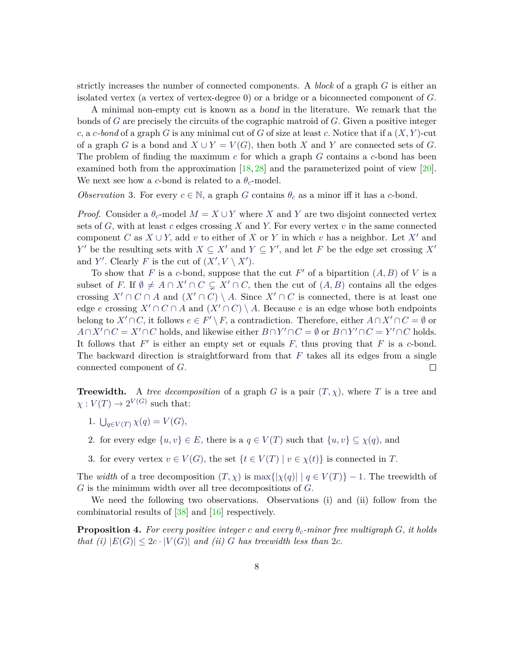strictly increases the number of connected components. A *block* of a graph *G* is either an isolated vertex (a vertex of vertex-degree 0) or a bridge or a biconnected component of *G.*

A minimal non-empty cut is known as a bond in the literature. We remark that the bonds of *G* are precisely the circuits of the cographic matroid of *G.* Given a positive integer *c,* a *c-bond* of a graph *G* is any minimal cut of *G* of size at least *c.* Notice that if a (*X, Y* )-cut of a graph *G* is a bond and  $X \cup Y = V(G)$ , then both *X* and *Y* are connected sets of *G*. The problem of finding the maximum *c* for which a graph *G* contains a *c*-bond has been examined both from the approximation  $[18, 28]$  $[18, 28]$  $[18, 28]$  and the parameterized point of view  $[20]$ . We next see how a *c*-bond is related to a  $\theta_c$ -model.

<span id="page-7-0"></span>*Observation* 3. For every  $c \in \mathbb{N}$ , a graph *G* contains  $\theta_c$  as a minor iff it has a *c*-bond.

*Proof.* Consider a  $\theta_c$ -model  $M = X \cup Y$  where X and Y are two disjoint connected vertex sets of *G,* with at least *c* edges crossing *X* and *Y.* For every vertex *v* in the same connected component *C* as  $X \cup Y$ , add *v* to either of *X* or *Y* in which *v* has a neighbor. Let  $X'$  and *Y*<sup>*V*</sup> be the resulting sets with  $X \subseteq X'$  and  $Y \subseteq Y'$ , and let *F* be the edge set crossing  $X'$ and *Y'*. Clearly *F* is the cut of  $(X', V \setminus X')$ .

To show that *F* is a *c*-bond, suppose that the cut  $F'$  of a bipartition  $(A, B)$  of *V* is a subset of *F*. If  $\emptyset \neq A \cap X' \cap C \subseteq X' \cap C$ , then the cut of  $(A, B)$  contains all the edges crossing  $X' \cap C \cap A$  and  $(X' \cap C) \setminus A$ . Since  $X' \cap C$  is connected, there is at least one edge *e* crossing  $X' \cap C \cap A$  and  $(X' \cap C) \setminus A$ . Because *e* is an edge whose both endpoints belong to  $X' \cap C$ , it follows  $e \in F' \setminus F$ , a contradiction. Therefore, either  $A \cap X' \cap C = \emptyset$  or *A*∩*X*<sup> $\prime$ </sup>∩*C* = *X*<sup> $\prime$ </sup>∩*C* holds, and likewise either *B*∩*Y*<sup> $\prime$ </sup>∩*C* = ∅ or *B*∩*Y*<sup> $\prime$ </sup>∩*C* = *Y*<sup> $\prime$ </sup>∩*C* holds. It follows that  $F'$  is either an empty set or equals  $F$ , thus proving that  $F$  is a  $c$ -bond. The backward direction is straightforward from that *F* takes all its edges from a single connected component of *G.*  $\Box$ 

**Treewidth.** A *tree decomposition* of a graph *G* is a pair  $(T, \chi)$ , where *T* is a tree and  $\chi: V(T) \to 2^{V(G)}$  such that:

- 1.  $\bigcup_{q \in V(T)} \chi(q) = V(G),$
- 2. for every edge  $\{u, v\} \in E$ , there is a  $q \in V(T)$  such that  $\{u, v\} \subseteq \chi(q)$ , and
- 3. for every vertex  $v \in V(G)$ , the set  $\{t \in V(T) \mid v \in \chi(t)\}$  is connected in *T*.

The *width* of a tree decomposition  $(T, \chi)$  is max $\{|\chi(q)| \mid q \in V(T)\} - 1$ . The treewidth of *G* is the minimum width over all tree decompositions of *G.*

We need the following two observations. Observations (i) and (ii) follow from the combinatorial results of [\[38\]](#page-24-10) and [\[16\]](#page-22-7) respectively.

<span id="page-7-1"></span>**Proposition 4.** For every positive integer c and every  $\theta_c$ -minor free multigraph G, it holds *that (i)*  $|E(G)| \leq 2c \cdot |V(G)|$  *and (ii) G has treewidth less than* 2*c*.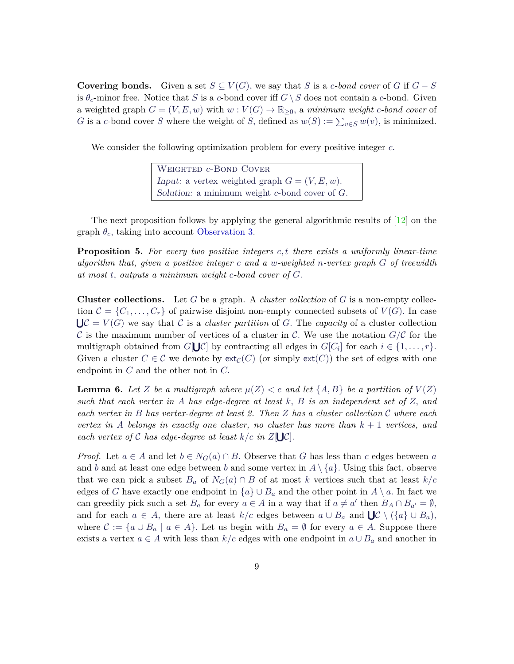**Covering bonds.** Given a set  $S \subseteq V(G)$ , we say that *S* is a *c*-bond cover of *G* if  $G - S$ is  $\theta_c$ -minor free. Notice that *S* is a *c*-bond cover iff  $G \setminus S$  does not contain a *c*-bond. Given a weighted graph  $G = (V, E, w)$  with  $w: V(G) \to \mathbb{R}_{\geq 0}$ , a *minimum weight c-bond cover* of *G* is a *c*-bond cover *S* where the weight of *S*, defined as  $w(S) := \sum_{v \in S} w(v)$ , is minimized.

We consider the following optimization problem for every positive integer *c.*

Weighted *c*-Bond Cover Input: a vertex weighted graph  $G = (V, E, w)$ . Solution: a minimum weight *c*-bond cover of *G.*

The next proposition follows by applying the general algorithmic results of [\[12\]](#page-22-8) on the graph  $\theta_c$ , taking into account [Observation 3.](#page-7-0)

<span id="page-8-0"></span>**Proposition 5.** *For every two positive integers c, t there exists a uniformly linear-time algorithm that, given a positive integer c and a w-weighted n-vertex graph G of treewidth at most t, outputs a minimum weight c-bond cover of G.*

**Cluster collections.** Let *G* be a graph. A *cluster collection* of *G* is a non-empty collection  $\mathcal{C} = \{C_1, \ldots, C_r\}$  of pairwise disjoint non-empty connected subsets of  $V(G)$ . In case  $\bigcup \mathcal{C} = V(G)$  we say that C is a *cluster partition* of G. The *capacity* of a cluster collection C is the maximum number of vertices of a cluster in C. We use the notation  $G/C$  for the multigraph obtained from  $G[\bigcup C]$  by contracting all edges in  $G[C_i]$  for each  $i \in \{1, ..., r\}$ *.* Given a cluster  $C \in \mathcal{C}$  we denote by  $ext_{\mathcal{C}}(C)$  (or simply  $ext(C)$ ) the set of edges with one endpoint in *C* and the other not in *C.*

<span id="page-8-1"></span>**Lemma 6.** Let *Z* be a multigraph where  $\mu(Z) < c$  and let  $\{A, B\}$  be a partition of  $V(Z)$ *such that each vertex in A has edge-degree at least k, B is an independent set of Z, and each vertex in B has vertex-degree at least 2. Then Z has a cluster collection* C *where each vertex in A belongs in exactly one cluster, no cluster has more than k* + 1 *vertices, and each vertex of* C *has edge-degree at least*  $k/c$  *in*  $Z[\bigcup \mathcal{C}]$ *.* 

*Proof.* Let  $a \in A$  and let  $b \in N_G(a) \cap B$ . Observe that *G* has less than *c* edges between *a* and *b* and at least one edge between *b* and some vertex in  $A \setminus \{a\}$ . Using this fact, observe that we can pick a subset  $B_a$  of  $N_G(a) \cap B$  of at most *k* vertices such that at least  $k/c$ edges of *G* have exactly one endpoint in  $\{a\} \cup B_a$  and the other point in  $A \setminus a$ . In fact we can greedily pick such a set  $B_a$  for every  $a \in A$  in a way that if  $a \neq a'$  then  $B_A \cap B_{a'} = \emptyset$ , and for each  $a \in A$ , there are at least  $k/c$  edges between  $a \cup B_a$  and  $\bigcup \mathcal{C} \setminus (\{a\} \cup B_a)$ , where  $C := \{a \cup B_a \mid a \in A\}$ . Let us begin with  $B_a = \emptyset$  for every  $a \in A$ . Suppose there exists a vertex  $a \in A$  with less than  $k/c$  edges with one endpoint in  $a \cup B_a$  and another in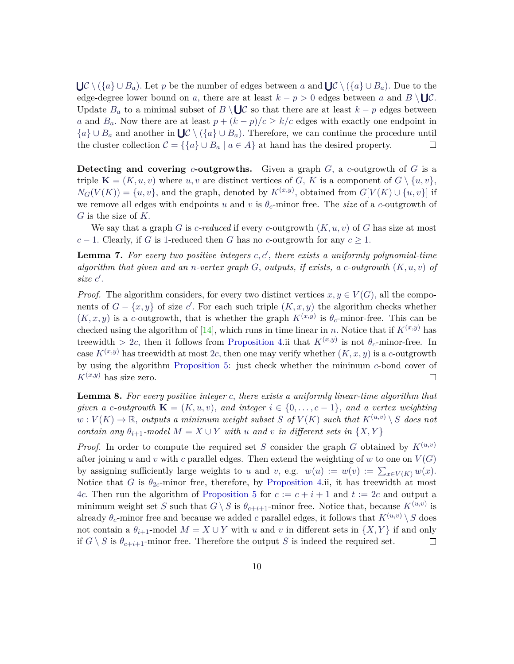$\bigcup \mathcal{C} \setminus (\{a\} \cup B_a)$ . Let *p* be the number of edges between *a* and  $\bigcup \mathcal{C} \setminus (\{a\} \cup B_a)$ . Due to the edge-degree lower bound on a, there are at least  $k - p > 0$  edges between a and  $B \setminus \bigcup \mathcal{C}$ . Update  $B_a$  to a minimal subset of  $B \setminus \bigcup \mathcal{C}$  so that there are at least  $k - p$  edges between *a* and *B*<sub>*a*</sub>. Now there are at least  $p + (k - p)/c \ge k/c$  edges with exactly one endpoint in  ${a} \cup B_a$  and another in  $\bigcup \mathcal{C} \setminus ({a} \cup B_a)$ . Therefore, we can continue the procedure until the cluster collection  $C = \{ \{a\} \cup B_a \mid a \in A \}$  at hand has the desired property.  $\Box$ 

**Detecting and covering** *c***-outgrowths.** Given a graph *G,* a *c*-outgrowth of *G* is a triple  $\mathbf{K} = (K, u, v)$  where  $u, v$  are distinct vertices of *G*, *K* is a component of  $G \setminus \{u, v\}$ ,  $N_G(V(K)) = \{u, v\}$ , and the graph, denoted by  $K^{(x,y)}$ , obtained from  $G[V(K) \cup \{u, v\}]$  if we remove all edges with endpoints *u* and *v* is  $\theta_c$ -minor free. The *size* of a *c*-outgrowth of *G* is the size of *K.*

We say that a graph *G* is *c*-reduced if every *c*-outgrowth  $(K, u, v)$  of *G* has size at most  $c-1$ . Clearly, if *G* is 1-reduced then *G* has no *c*-outgrowth for any  $c \geq 1$ .

<span id="page-9-0"></span>**Lemma 7.** For every two positive integers  $c, c'$ , there exists a uniformly polynomial-time *algorithm that given and an n-vertex graph G, outputs, if exists, a c-outgrowth* (*K, u, v*) *of*  $size c'.$ 

*Proof.* The algorithm considers, for every two distinct vertices  $x, y \in V(G)$ , all the components of  $G - \{x, y\}$  of size *c*'. For each such triple  $(K, x, y)$  the algorithm checks whether  $(K, x, y)$  is a *c*-outgrowth, that is whether the graph  $K^{(x,y)}$  is  $\theta_c$ -minor-free. This can be checked using the algorithm of [\[14\]](#page-22-9), which runs in time linear in *n*. Notice that if  $K^{(x,y)}$  has treewidth  $> 2c$ , then it follows from [Proposition 4.](#page-7-1)ii that  $K^{(x,y)}$  is not  $\theta_c$ -minor-free. In case  $K^{(x,y)}$  has treewidth at most 2*c*, then one may verify whether  $(K, x, y)$  is a *c*-outgrowth by using the algorithm [Proposition 5:](#page-8-0) just check whether the minimum *c*-bond cover of  $K^{(x,y)}$  has size zero.  $\Box$ 

<span id="page-9-1"></span>**Lemma 8.** *For every positive integer c, there exists a uniformly linear-time algorithm that given a c-outgrowth*  $\mathbf{K} = (K, u, v)$ *, and integer*  $i \in \{0, \ldots, c - 1\}$ *, and a vertex weighting*  $w: V(K) \to \mathbb{R}$ , *outputs a minimum weight subset S of*  $V(K)$  *such that*  $K^{(u,v)} \setminus S$  *does not contain any*  $\theta_{i+1}$ *-model*  $M = X \cup Y$  *with u and v in different sets in*  $\{X, Y\}$ 

*Proof.* In order to compute the required set *S* consider the graph *G* obtained by  $K^{(u,v)}$ after joining *u* and *v* with *c* parallel edges. Then extend the weighting of *w* to one on  $V(G)$ by assigning sufficiently large weights to *u* and *v*, e.g.  $w(u) := w(v) := \sum_{x \in V(K)} w(x)$ . Notice that *G* is  $\theta_{2c}$ -minor free, therefore, by [Proposition 4.](#page-7-1)ii, it has treewidth at most 4*c*. Then run the algorithm of [Proposition 5](#page-8-0) for  $c := c + i + 1$  and  $t := 2c$  and output a minimum weight set *S* such that  $G \setminus S$  is  $\theta_{c+i+1}$ -minor free. Notice that, because  $K^{(u,v)}$  is already  $\theta_c$ -minor free and because we added *c* parallel edges, it follows that  $K^{(u,v)} \setminus S$  does not contain a  $\theta_{i+1}$ -model  $M = X \cup Y$  with *u* and *v* in different sets in  $\{X, Y\}$  if and only if  $G \setminus S$  is  $\theta_{c+i+1}$ -minor free. Therefore the output *S* is indeed the required set. □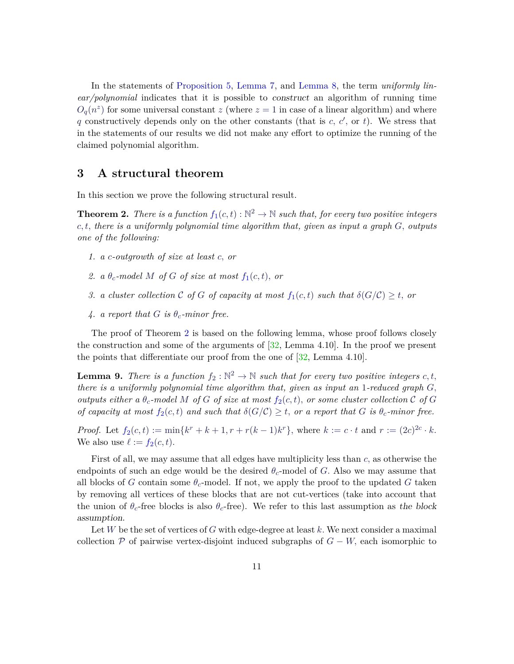In the statements of [Proposition 5,](#page-8-0) [Lemma 7,](#page-9-0) and [Lemma 8,](#page-9-1) the term *uniformly linear/polynomial* indicates that it is possible to construct an algorithm of running time  $O_q(n^z)$  for some universal constant *z* (where  $z = 1$  in case of a linear algorithm) and where q constructively depends only on the other constants (that is  $c, c',$  or  $t$ ). We stress that in the statements of our results we did not make any effort to optimize the running of the claimed polynomial algorithm.

#### <span id="page-10-0"></span>**3 A structural theorem**

In this section we prove the following structural result.

**Theorem 2.** There is a [f](#page-5-0)unction  $f_1(c,t): \mathbb{N}^2 \to \mathbb{N}$  such that, for every two positive integers *c, t, there is a uniformly polynomial time algorithm that, given as input a graph G, outputs one of the following:*

- *1. a c-outgrowth of size at least c, or*
- 2. *a*  $\theta_c$ -model *M o[f](#page-5-0) G of size at most*  $f_1(c,t)$ *, or*
- *3. a cluster collection*  $C$  *o[f](#page-5-0)*  $G$  *of capacity at most*  $f_1(c, t)$  *such that*  $\delta(G/C) \geq t$ , *or*
- 4. *a report that*  $G$  *is*  $\theta_c$ -minor free.

The proof of Theorem [2](#page-4-2) is based on the following lemma, whose proof follows closely the construction and some of the arguments of [\[32,](#page-24-8) Lemma 4.10]. In the proof we present the points that differentiate our proof from the one of  $[32, \text{Lemma } 4.10].$  $[32, \text{Lemma } 4.10].$ 

<span id="page-10-2"></span><span id="page-10-1"></span>**Lemma 9.** *There is a function*  $f_2 : \mathbb{N}^2 \to \mathbb{N}$  *such that for every two positive integers*  $c, t$ , *there is a uniformly polynomial time algorithm that, given as input an* 1*-reduced graph G, outputs either a*  $\theta_c$ -model M o[f](#page-10-1) G of size at most  $f_2(c, t)$ , or some cluster collection C of G *o[f](#page-10-1) capacity at most*  $f_2(c, t)$  *and such that*  $\delta(G/\mathcal{C}) \geq t$ , *or a report that G is*  $\theta_c$ -*minor free.* 

*Proo[f](#page-10-1).* Let  $f_2(c,t) := \min\{k^r + k + 1, r + r(k-1)k^r\}$ , where  $k := c \cdot t$  and  $r := (2c)^{2c} \cdot k$ . We also use  $\ell := f_2(c, t)$  $\ell := f_2(c, t)$  $\ell := f_2(c, t)$ .

First of all, we may assume that all edges have multiplicity less than *c,* as otherwise the endpoints of such an edge would be the desired  $\theta_c$ -model of *G*. Also we may assume that all blocks of *G* contain some  $\theta_c$ -model. If not, we apply the proof to the updated *G* taken by removing all vertices of these blocks that are not cut-vertices (take into account that the union of  $\theta_c$ -free blocks is also  $\theta_c$ -free). We refer to this last assumption as the block assumption.

Let *W* be the set of vertices of *G* with edge-degree at least *k.* We next consider a maximal collection  $\mathcal P$  of pairwise vertex-disjoint induced subgraphs of  $G - W$ , each isomorphic to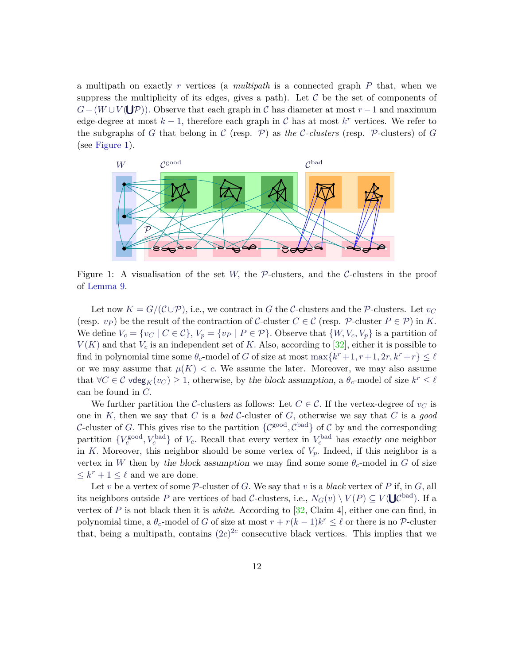a multipath on exactly *r* vertices (a *multipath* is a connected graph *P* that, when we suppress the multiplicity of its edges, gives a path). Let  $C$  be the set of components of  $G-(W\cup V(\bigcup \mathcal{P}))$ . Observe that each graph in C has diameter at most  $r-1$  and maximum edge-degree at most  $k-1$ , therefore each graph in C has at most  $k^r$  vertices. We refer to the subgraphs of *G* that belong in  $\mathcal C$  (resp.  $\mathcal P$ ) as *the*  $\mathcal C$ *-clusters* (resp.  $\mathcal P$ -clusters) of *G* (see [Figure 1\)](#page-11-0).

<span id="page-11-0"></span>

Figure 1: A visualisation of the set *W*, the  $P$ -clusters, and the  $C$ -clusters in the proof of [Lemma 9.](#page-10-2)

Let now  $K = G/(\mathcal{C} \cup \mathcal{P})$ , i.e., we contract in *G* the *C*-clusters and the *P*-clusters. Let  $v_C$ (resp.  $v_P$ ) be the result of the contraction of C-cluster  $C \in \mathcal{C}$  (resp. P-cluster  $P \in \mathcal{P}$ ) in *K*. We define  $V_c = \{v_C \mid C \in \mathcal{C}\}, V_p = \{v_P \mid P \in \mathcal{P}\}.$  Observe that  $\{W, V_c, V_p\}$  is a partition of  $V(K)$  and that  $V_c$  is an independent set of K. Also, according to [\[32\]](#page-24-8), either it is possible to find in polynomial time some  $\theta_c$ -model of *G* of size at most  $\max\{k^r + 1, r + 1, 2r, k^r + r\} \leq \ell$ or we may assume that  $\mu(K) < c$ . We assume the later. Moreover, we may also assume that  $\forall C \in \mathcal{C}$  vdeg<sub>*K*</sub>(*v<sub>C</sub>*) ≥ 1, otherwise, by the block assumption, a  $\theta_c$ -model of size  $k^r \leq \ell$ can be found in *C.*

We further partition the C-clusters as follows: Let  $C \in \mathcal{C}$ . If the vertex-degree of  $v_C$  is one in *K,* then we say that *C* is a *bad* C-cluster of *G,* otherwise we say that *C* is a *good* C-cluster of G. This gives rise to the partition  $\{\mathcal{C}^{\text{good}}, \mathcal{C}^{\text{bad}}\}$  of C by and the corresponding partition  $\{V_c^{\text{good}}, V_c^{\text{bad}}\}$  of  $V_c$ . Recall that every vertex in  $V_c^{\text{bad}}$  has exactly one neighbor in *K*. Moreover, this neighbor should be some vertex of  $V_p$ . Indeed, if this neighbor is a vertex in *W* then by the block assumption we may find some some  $\theta_c$ -model in *G* of size  $\leq k^r + 1 \leq \ell$  and we are done.

Let *v* be a vertex of some  $P$ -cluster of *G*. We say that *v* is a *black* vertex of *P* if, in *G*, all its neighbors outside *P* are vertices of bad *C*-clusters, i.e.,  $N_G(v) \setminus V(P) \subseteq V(\bigcup \mathcal{C}^{bad})$ . If a vertex of *P* is not black then it is *white*. According to [\[32,](#page-24-8) Claim 4], either one can find, in polynomial time, a  $\theta_c$ -model of *G* of size at most  $r + r(k-1)k^r \leq \ell$  or there is no P-cluster that, being a multipath, contains  $(2c)^{2c}$  consecutive black vertices. This implies that we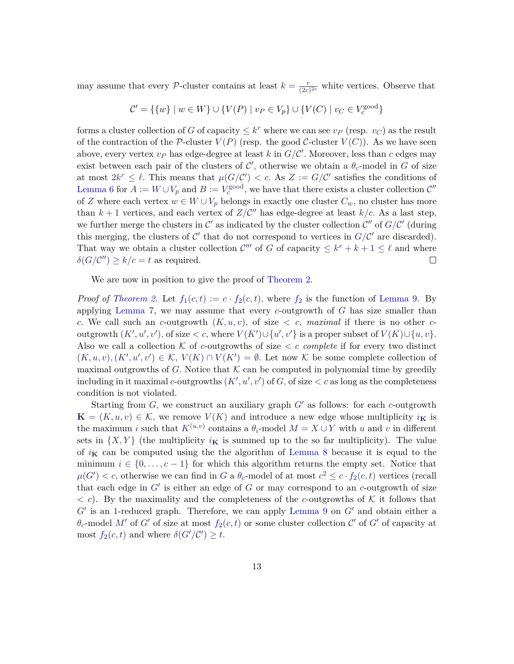may assume that every P-cluster contains at least  $k = \frac{r}{Qc}$  $\frac{r}{(2c)^{2c}}$  white vertices. Observe that

$$
\mathcal{C}' = \{\{w\} \mid w \in W\} \cup \{V(P) \mid v_P \in V_p\} \cup \{V(C) \mid v_C \in V_c^{\text{good}}\}
$$

forms a cluster collection of *G* of capacity  $\leq k^r$  where we can see  $v_P$  (resp.  $v_C$ ) as the result of the contraction of the P-cluster  $V(P)$  (resp. the good C-cluster  $V(C)$ ). As we have seen above, every vertex  $v_P$  has edge-degree at least  $k$  in  $G/C'$ . Moreover, less than  $c$  edges may exist between each pair of the clusters of  $\mathcal{C}'$ , otherwise we obtain a  $\theta_c$ -model in *G* of size at most  $2k^r \leq \ell$ . This means that  $\mu(G/C') < c$ . As  $Z := G/C'$  satisfies the conditions of [Lemma 6](#page-8-1) for  $A := W \cup V_p$  and  $B := V_c^{\text{good}}$ , we have that there exists a cluster collection  $\mathcal{C}''$ of *Z* where each vertex  $w \in W \cup V_p$  belongs in exactly one cluster  $C_w$ , no cluster has more than  $k+1$  vertices, and each vertex of  $Z/C''$  has edge-degree at least  $k/c$ . As a last step, we further merge the clusters in  $\mathcal{C}'$  as indicated by the cluster collection  $\mathcal{C}''$  of  $G/\mathcal{C}'$  (during this merging, the clusters of  $\mathcal{C}'$  that do not correspond to vertices in  $G/\mathcal{C}'$  are discarded). That way we obtain a cluster collection  $\mathcal{C}'''$  of *G* of capacity  $\leq k^r + k + 1 \leq \ell$  and where  $\delta(G/C'') \ge k/c = t$  as required.  $\Box$ 

We are now in position to give the proof of [Theorem 2.](#page-4-2)

*Proof of [Theorem 2.](#page-4-2)* Let  $f_1(c,t) := c \cdot f_2(c,t)$  $f_1(c,t) := c \cdot f_2(c,t)$ , where  $f_2$  is the function of [Lemma 9.](#page-10-2) By applying [Lemma 7,](#page-9-0) we may assume that every *c*-outgrowth of *G* has size smaller than *c.* We call such an *c*-outgrowth  $(K, u, v)$ , of size  $\lt c$ , *maximal* if there is no other *c*outgrowth  $(K', u', v')$ , of size  $\lt c$ , where  $V(K') \cup \{u', v'\}$  is a proper subset of  $V(K) \cup \{u, v\}$ . Also we call a collection  $K$  of *c*-outgrowths of size  $\lt c$  *complete* if for every two distinct  $(K, u, v), (K', u', v') \in \mathcal{K}, V(K) \cap V(K') = \emptyset$ . Let now  $\mathcal{K}$  be some complete collection of maximal outgrowths of *G*. Notice that  $K$  can be computed in polynomial time by greedily including in it maximal *c*-outgrowths  $(K', u', v')$  of *G*, of size  $\lt c$  as long as the completeness condition is not violated.

Starting from  $G$ , we construct an auxiliary graph  $G'$  as follows: for each  $c$ -outgrowth  $\mathbf{K} = (K, u, v) \in \mathcal{K}$ , we remove  $V(K)$  and introduce a new edge whose multiplicity  $i_{\mathbf{K}}$  is the maximum *i* such that  $K^{(u,v)}$  contains a  $\theta_i$ -model  $M = X \cup Y$  with *u* and *v* in different sets in  $\{X, Y\}$  (the multiplicity  $i_K$  is summed up to the so far multiplicity). The value of  $i_{\mathbf{K}}$  can be computed using the the algorithm of [Lemma 8](#page-9-1) because it is equal to the minimum  $i \in \{0, \ldots, c-1\}$  for which this algorithm returns the empty set. Notice that  $\mu(G') < c$ , otherwise we can [f](#page-10-1)ind in *G* a  $\theta_c$ -model of at most  $c^2 \leq c \cdot f_2(c, t)$  vertices (recall that each edge in  $G'$  is either an edge of  $G$  or may correspond to an  $c$ -outgrowth of size  $\langle c \rangle$ . By the maximality and the completeness of the *c*-outgrowths of K it follows that  $G'$  is an 1-reduced graph. Therefore, we can apply [Lemma 9](#page-10-2) on  $G'$  and obtain either a  $\theta_c$ -model M' o[f](#page-10-1) *G*' of size at most  $f_2(c,t)$  or some cluster collection  $\mathcal{C}'$  of  $G'$  of capacity at most  $f_2(c, t)$  $f_2(c, t)$  and where  $\delta(G'/C') \geq t$ .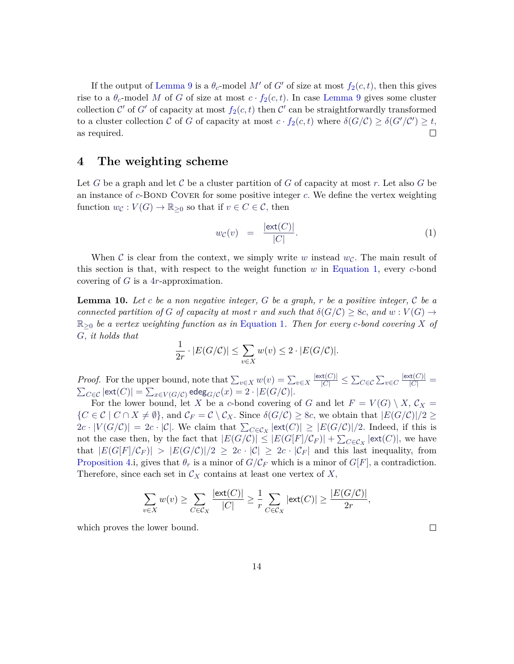If the output of [Lemma 9](#page-10-2) is a  $\theta_c$ -model M' o[f](#page-10-1) G' of size at most  $f_2(c, t)$ , then this gives rise to a  $\theta_c$ -model M o[f](#page-10-1) G of size at most  $c \cdot f_2(c, t)$ . In case [Lemma 9](#page-10-2) gives some cluster collection  $\mathcal{C}'$  o[f](#page-10-1)  $G'$  of capacity at most  $f_2(c, t)$  then  $\mathcal{C}'$  can be straightforwardly transformed to a cluster collection C o[f](#page-10-1) G of capacity at most  $c \cdot f_2(c, t)$  where  $\delta(G/\mathcal{C}) \geq \delta(G'/\mathcal{C}') \geq t$ , as required.  $\Box$ 

### <span id="page-13-0"></span>**4 The weighting scheme**

Let *G* be a graph and let *C* be a cluster partition of *G* of capacity at most *r*. Let also *G* be an instance of *c*-Bond Cover for some positive integer *c*. We define the vertex weighting function  $w_{\mathcal{C}} : V(G) \to \mathbb{R}_{\geq 0}$  so that if  $v \in C \in \mathcal{C}$ , then

<span id="page-13-2"></span>
$$
w_{\mathcal{C}}(v) = \frac{|\text{ext}(C)|}{|C|}.
$$
 (1)

When C is clear from the context, we simply write *w* instead  $w_c$ . The main result of this section is that, with respect to the weight function *w* in [Equation 1,](#page-13-2) every *c*-bond covering of *G* is a 4*r*-approximation.

<span id="page-13-1"></span>**Lemma 10.** *Let c be a non negative integer, G be a graph, r be a positive integer,* C *be a connected partition of G of capacity at most r* and such that  $\delta(G/\mathcal{C}) \geq 8c$ , and  $w : V(G) \rightarrow$ R≥<sup>0</sup> *be a vertex weighting function as in* [Equation 1](#page-13-2)*. Then for every c-bond covering X of G, it holds that*

$$
\frac{1}{2r} \cdot |E(G/C)| \le \sum_{v \in X} w(v) \le 2 \cdot |E(G/C)|.
$$

*Proof.* For the upper bound, note that  $\sum_{v \in X} w(v) = \sum_{v \in X}$  $\frac{|\text{ext}(C)|}{|C|}$  ≤  $\sum_{C \in \mathcal{C}}$   $\sum_{v \in C}$  $\frac{|\text{ext}(C)|}{|C|} =$  $\sum_{C \in \mathcal{C}} |\text{ext}(C)| = \sum_{x \in V(G/\mathcal{C})} \text{edge}_{G/\mathcal{C}}(x) = 2 \cdot |E(G/\mathcal{C})|.$ 

For the lower bound, let *X* be a *c*-bond covering of *G* and let  $F = V(G) \setminus X$ ,  $\mathcal{C}_X =$  ${C \in \mathcal{C} \mid C \cap X \neq \emptyset}$ , and  $\mathcal{C}_F = \mathcal{C} \setminus \mathcal{C}_X$ . Since  $\delta(G/\mathcal{C}) \geq 8c$ , we obtain that  $|E(G/\mathcal{C})|/2 \geq$  $2c \cdot |V(G/C)| = 2c \cdot |\mathcal{C}|$ . We claim that  $\sum_{C \in \mathcal{C}_X} |\text{ext}(C)| \ge |E(G/\mathcal{C})|/2$ . Indeed, if this is not the case then, by the fact that  $|E(G/C)| \leq |E(G[F]/C_F)| + \sum_{C \in \mathcal{C}_X} |\text{ext}(C)|$ , we have that  $|E(G[F]/\mathcal{C}_F)| > |E(G/\mathcal{C})|/2 \geq 2c \cdot |\mathcal{C}| \geq 2c \cdot |\mathcal{C}_F|$  and this last inequality, from [Proposition 4.](#page-7-1)i, gives that  $\theta_r$  is a minor of  $G/C_F$  which is a minor of  $G[F]$ , a contradiction. Therefore, since each set in  $\mathcal{C}_X$  contains at least one vertex of  $X$ ,

$$
\sum_{v \in X} w(v) \ge \sum_{C \in \mathcal{C}_X} \frac{|\text{ext}(C)|}{|C|} \ge \frac{1}{r} \sum_{C \in \mathcal{C}_X} |\text{ext}(C)| \ge \frac{|E(G/C)|}{2r},
$$

which proves the lower bound.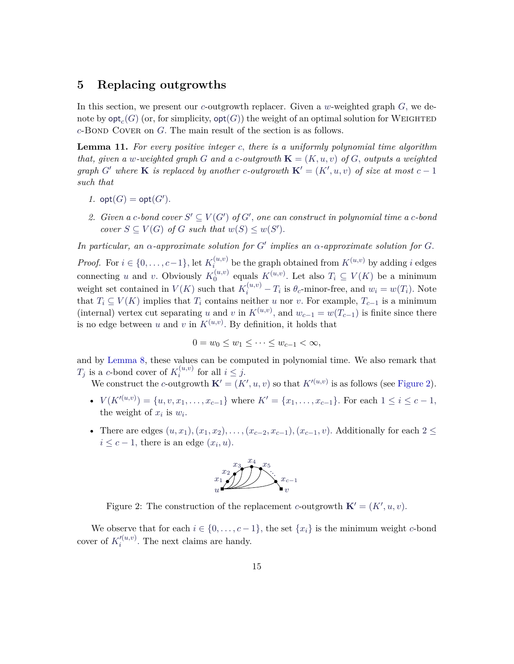### <span id="page-14-0"></span>**5 Replacing outgrowths**

In this section, we present our *c*-outgrowth replacer. Given a *w*-weighted graph *G,* we denote by  $\mathsf{opt}_c(G)$  (or, for simplicity,  $\mathsf{opt}(G)$ ) the weight of an optimal solution for WEIGHTED *c*-Bond Cover on *G.* The main result of the section is as follows.

<span id="page-14-3"></span>**Lemma 11.** *For every positive integer c, there is a uniformly polynomial time algorithm that, given a w*-weighted graph *G* and a *c*-outgrowth  $\mathbf{K} = (K, u, v)$  of *G,* outputs a weighted *graph*  $G'$  *where* **K** *is replaced by another c*-outgrowth  $\mathbf{K}' = (K', u, v)$  *of size at most*  $c - 1$ *such that*

- *1.*  $opt(G) = opt(G')$ *.*
- 2. *Given a c*-bond cover  $S' \subseteq V(G')$  of  $G'$ , one can construct in polynomial time a c-bond *cover*  $S \subseteq V(G)$  *of G such that*  $w(S) \leq w(S')$ *.*

*In particular, an*  $\alpha$ -approximate solution for  $G'$  implies an  $\alpha$ -approximate solution for  $G$ .

*Proof.* For  $i \in \{0, \ldots, c-1\}$ , let  $K_i^{(u,v)}$  $\mathbf{F}_i^{(u,v)}$  be the graph obtained from  $K^{(u,v)}$  by adding *i* edges connecting *u* and *v*. Obviously  $K_0^{(u,v)}$  $b_0^{(u,v)}$  equals  $K^{(u,v)}$ . Let also  $T_i \subseteq V(K)$  be a minimum weight set contained in  $V(K)$  such that  $K_i^{(u,v)} - T_i$  is  $\theta_c$ -minor-free, and  $w_i = w(T_i)$ . Note that  $T_i \subseteq V(K)$  implies that  $T_i$  contains neither *u* nor *v*. For example,  $T_{c-1}$  is a minimum (internal) vertex cut separating *u* and *v* in  $K^{(u,v)}$ , and  $w_{c-1} = w(T_{c-1})$  is finite since there is no edge between *u* and *v* in  $K^{(u,v)}$ . By definition, it holds that

$$
0 = w_0 \le w_1 \le \dots \le w_{c-1} < \infty,
$$

and by [Lemma 8,](#page-9-1) these values can be computed in polynomial time. We also remark that  $T_j$  is a *c*-bond cover of  $K_i^{(u,v)}$  $i^{(u,v)}$  for all  $i \leq j$ .

We construct the *c*-outgrowth  $\mathbf{K}' = (K', u, v)$  so that  $K'^{(u,v)}$  is as follows (see [Figure 2\)](#page-14-1).

- $V(K^{(u,v)}) = \{u, v, x_1, \ldots, x_{c-1}\}$  where  $K' = \{x_1, \ldots, x_{c-1}\}$ . For each  $1 \le i \le c-1$ , the weight of  $x_i$  is  $w_i$ .
- <span id="page-14-1"></span>• There are edges  $(u, x_1), (x_1, x_2), \ldots, (x_{c-2}, x_{c-1}), (x_{c-1}, v)$ . Additionally for each  $2 \le$  $i \leq c - 1$ , there is an edge  $(x_i, u)$ *.*



Figure 2: The construction of the replacement *c*-outgrowth  $\mathbf{K}' = (K', u, v)$ .

<span id="page-14-2"></span>We observe that for each  $i \in \{0, \ldots, c-1\}$ , the set  $\{x_i\}$  is the minimum weight *c*-bond cover of  $K_i^{\prime (u,v)}$  $i^{(u,v)}$ . The next claims are handy.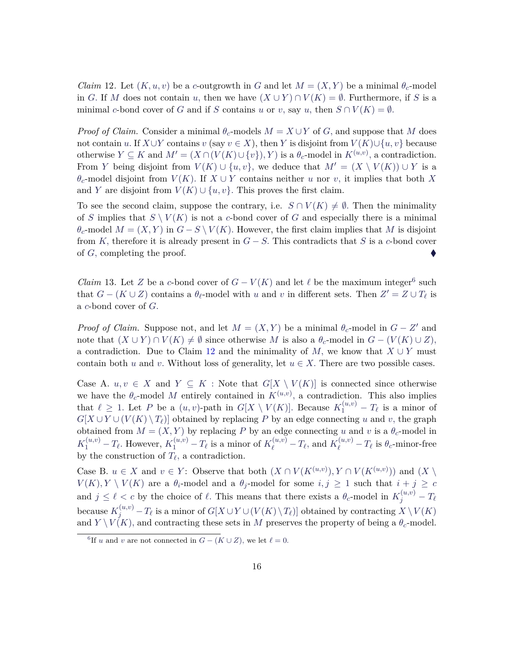*Claim* 12*.* Let  $(K, u, v)$  be a *c*-outgrowth in *G* and let  $M = (X, Y)$  be a minimal  $\theta_c$ -model in *G*. If *M* does not contain *u*, then we have  $(X \cup Y) \cap V(K) = \emptyset$ . Furthermore, if *S* is a minimal *c*-bond cover of *G* and if *S* contains *u* or *v*, say *u*, then  $S \cap V(K) = \emptyset$ *.* 

*Proof of Claim.* Consider a minimal  $\theta_c$ -models  $M = X \cup Y$  of *G*, and suppose that *M* does not contain *u*. If  $X \cup Y$  contains  $v$  (say  $v \in X$ ), then *Y* is disjoint from  $V(K) \cup \{u, v\}$  because otherwise  $Y \subseteq K$  and  $M' = (X \cap (V(K) \cup \{v\}), Y)$  is a  $\theta_c$ -model in  $K^{(u,v)}$ , a contradiction. From *Y* being disjoint from  $V(K) \cup \{u, v\}$ , we deduce that  $M' = (X \setminus V(K)) \cup Y$  is a *θ*<sup>*c*</sup>-model disjoint from *V*(*K*)*.* If *X* ∪ *Y* contains neither *u* nor *v*, it implies that both *X* and *Y* are disjoint from  $V(K) \cup \{u, v\}$ . This proves the first claim.

To see the second claim, suppose the contrary, i.e.  $S \cap V(K) \neq \emptyset$ . Then the minimality of *S* implies that  $S \setminus V(K)$  is not a *c*-bond cover of *G* and especially there is a minimal  $\theta_c$ -model  $M = (X, Y)$  in  $G - S \setminus V(K)$ . However, the first claim implies that M is disjoint from *K*, therefore it is already present in  $G - S$ . This contradicts that *S* is a *c*-bond cover of *G,* completing the proof.

<span id="page-15-1"></span>*Claim* 13. Let *Z* be a *c*-bond cover of  $G - V(K)$  and let  $\ell$  be the maximum integer<sup>[6](#page-15-0)</sup> such that  $G - (K \cup Z)$  contains a  $\theta_{\ell}$ -model with *u* and *v* in different sets. Then  $Z' = Z \cup T_{\ell}$  is a *c*-bond cover of *G.*

*Proof of Claim.* Suppose not, and let  $M = (X, Y)$  be a minimal  $\theta_c$ -model in  $G - Z'$  and note that  $(X \cup Y) \cap V(K) \neq \emptyset$  since otherwise *M* is also a  $\theta_c$ -model in  $G - (V(K) \cup Z)$ , a contradiction. Due to Claim [12](#page-14-2) and the minimality of *M*, we know that  $X \cup Y$  must contain both *u* and *v*. Without loss of generality, let  $u \in X$ . There are two possible cases.

Case A.  $u, v \in X$  and  $Y \subseteq K$ : Note that  $G[X \setminus V(K)]$  is connected since otherwise we have the  $\theta_c$ -model *M* entirely contained in  $K^{(u,v)}$ , a contradiction. This also implies that  $\ell \geq 1$ . Let *P* be a  $(u, v)$ -path in  $G[X \setminus V(K)]$ . Because  $K_1^{(u, v)} - T_{\ell}$  is a minor of  $G[X \cup Y \cup (V(K) \setminus T_{\ell})]$  obtained by replacing *P* by an edge connecting *u* and *v*, the graph obtained from  $M = (X, Y)$  by replacing *P* by an edge connecting *u* and *v* is a  $\theta_c$ -model in  $K_1^{(u,v)} - T_{\ell}$ . However,  $K_1^{(u,v)} - T_{\ell}$  is a minor of  $K_{\ell}^{(u,v)} - T_{\ell}$ , and  $K_{\ell}^{(u,v)} - T_{\ell}$  is  $\theta_c$ -minor-free by the construction of  $T_{\ell}$ , a contradiction.

Case B.  $u \in X$  and  $v \in Y$ : Observe that both  $(X \cap V(K^{(u,v)}), Y \cap V(K^{(u,v)}))$  and  $(X \setminus Y)$  $V(K), Y \setminus V(K)$  are a  $\theta_i$ -model and a  $\theta_j$ -model for some  $i, j \ge 1$  such that  $i + j \ge c$ and  $j \leq \ell < c$  by the choice of  $\ell$ . This means that there exists a  $\theta_c$ -model in  $K_j^{(u,v)} - T_{\ell}$  $\text{because } K_j^{(u,v)} - T_\ell \text{ is a minor of } G[X \cup Y \cup (V(K) \setminus T_\ell)] \text{ obtained by contracting } X \setminus V(K)$ and  $Y \setminus V(K)$ , and contracting these sets in *M* preserves the property of being a  $\theta_c$ -model.

<span id="page-15-0"></span><sup>&</sup>lt;sup>6</sup>If *u* and *v* are not connected in  $G - (K \cup Z)$ , we let  $\ell = 0$ .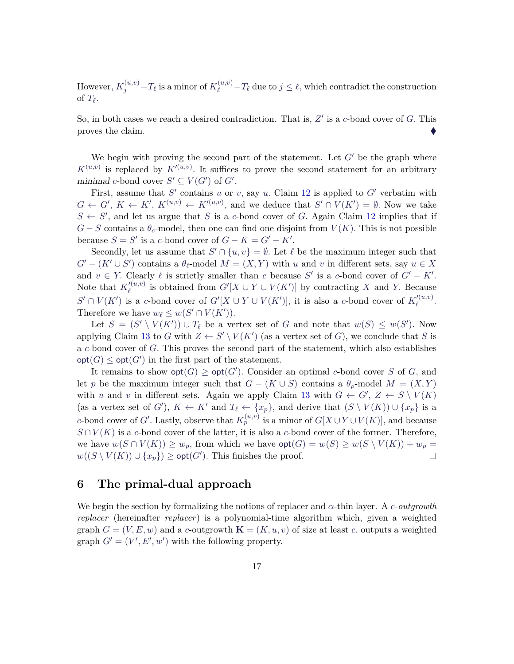$\text{However, } K_j^{(u,v)} - T_\ell \text{ is a minor of } K_\ell^{(u,v)} - T_\ell \text{ due to } j \leq \ell \text{, which contradict the construction }$ of  $T_{\ell}$ .

So, in both cases we reach a desired contradiction. That is,  $Z'$  is a *c*-bond cover of *G*. This proves the claim.

We begin with proving the second part of the statement. Let  $G'$  be the graph where  $K^{(u,v)}$  is replaced by  $K^{(u,v)}$ . It suffices to prove the second statement for an arbitrary minimal *c*-bond cover  $S' \subseteq V(G')$  of  $G'$ .

First, assume that  $S'$  contains  $u$  or  $v$ , say  $u$ . Claim [12](#page-14-2) is applied to  $G'$  verbatim with  $G \leftarrow G', K \leftarrow K', K^{(u,v)} \leftarrow K'^{(u,v)}$ , and we deduce that  $S' \cap V(K') = \emptyset$ . Now we take  $S \leftarrow S'$ , and let us argue that *S* is a *c*-bond cover of *G*. Again Claim [12](#page-14-2) implies that if  $G-S$  contains a  $\theta_c$ -model, then one can find one disjoint from  $V(K)$ . This is not possible because  $S = S'$  is a *c*-bond cover of  $G - K = G' - K'$ .

Secondly, let us assume that  $S' \cap \{u, v\} = \emptyset$ . Let  $\ell$  be the maximum integer such that  $G' - (K' \cup S')$  contains a  $\theta_{\ell}$ -model  $M = (X, Y)$  with *u* and *v* in different sets, say  $u \in X$ and  $v \in Y$ . Clearly  $\ell$  is strictly smaller than *c* because *S'* is a *c*-bond cover of  $G' - K'$ . Note that  $K_{\ell}^{\prime (u,v)}$  $\mathcal{C}^{(u,v)}_{\ell}$  is obtained from  $G'[X \cup Y \cup V(K')]$  by contracting *X* and *Y*. Because  $S' \cap V(K')$  is a *c*-bond cover of  $G'[X \cup Y \cup V(K')]$ , it is also a *c*-bond cover of  $K_{\ell}^{\prime(u,v)}$ *` .* Therefore we have  $w_{\ell} \leq w(S' \cap V(K'))$ *.* 

Let  $S = (S' \setminus V(K')) \cup T_\ell$  be a vertex set of *G* and note that  $w(S) \leq w(S')$ . Now applying Claim [13](#page-15-1) to *G* with  $Z \leftarrow S' \setminus V(K')$  (as a vertex set of *G*), we conclude that *S* is a *c*-bond cover of *G.* This proves the second part of the statement, which also establishes  $\text{opt}(G) \le \text{opt}(G')$  in the first part of the statement.

It remains to show  $opt(G) \ge opt(G')$ . Consider an optimal *c*-bond cover *S* of *G*, and let *p* be the maximum integer such that  $G - (K \cup S)$  contains a  $\theta_p$ -model  $M = (X, Y)$ with *u* and *v* in different sets. Again we apply Claim [13](#page-15-1) with  $G \leftarrow G'$ ,  $Z \leftarrow S \setminus V(K)$ (as a vertex set of *G*<sup> $\prime$ </sup>),  $K \leftarrow K'$  and  $T_{\ell} \leftarrow \{x_p\}$ , and derive that  $(S \setminus V(K)) \cup \{x_p\}$  is a *c*-bond cover of *G'*. Lastly, observe that  $K_p^{(u,v)}$  is a minor of  $G[X \cup Y \cup V(K)]$ , and because  $S \cap V(K)$  is a *c*-bond cover of the latter, it is also a *c*-bond cover of the former. Therefore, we have  $w(S \cap V(K)) \geq w_p$ , from which we have  $\text{opt}(G) = w(S) \geq w(S \setminus V(K)) + w_p =$ *w*((*S* \ *V*(*K*)) ∪ {*x<sub>p</sub>*}) ≥ **opt**(*G*<sup> $\prime$ </sup>). This finishes the proof.  $\Box$ 

### <span id="page-16-0"></span>**6 The primal-dual approach**

We begin the section by formalizing the notions of replacer and *α*-thin layer. A *c-outgrowth replacer* (hereinafter *replacer*) is a polynomial-time algorithm which, given a weighted graph  $G = (V, E, w)$  and a *c*-outgrowth  $\mathbf{K} = (K, u, v)$  of size at least *c*, outputs a weighted graph  $G' = (V', E', w')$  with the following property.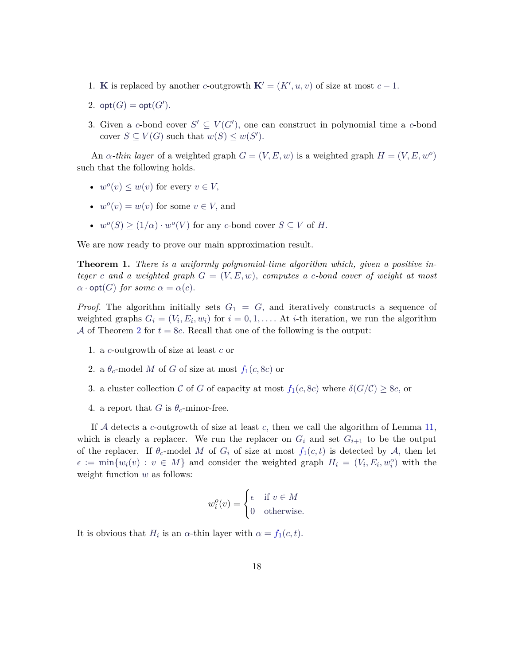- 1. **K** is replaced by another *c*-outgrowth  $\mathbf{K}' = (K', u, v)$  of size at most  $c 1$ .
- 2.  $opt(G) = opt(G').$
- 3. Given a *c*-bond cover  $S' \subseteq V(G')$ , one can construct in polynomial time a *c*-bond cover  $S \subseteq V(G)$  such that  $w(S) \leq w(S')$ .

An  $\alpha$ -thin layer of a weighted graph  $G = (V, E, w)$  is a weighted graph  $H = (V, E, w^o)$ such that the following holds.

- $w^o(v) \leq w(v)$  for every  $v \in V$ ,
- $w^o(v) = w(v)$  for some  $v \in V$ , and
- $w^o(S) \ge (1/\alpha) \cdot w^o(V)$  for any *c*-bond cover  $S \subseteq V$  of *H*.

We are now ready to prove our main approximation result.

**Theorem 1.** *There is a uniformly polynomial-time algorithm which, given a positive integer c* and a weighted graph  $G = (V, E, w)$ *, computes a c-bond cover of weight at most*  $\alpha \cdot \mathsf{opt}(G)$  *for some*  $\alpha = \alpha(c)$ *.* 

*Proof.* The algorithm initially sets  $G_1 = G$ , and iteratively constructs a sequence of weighted graphs  $G_i = (V_i, E_i, w_i)$  for  $i = 0, 1, \ldots$ . At *i*-th iteration, we run the algorithm A of Theorem [2](#page-4-2) for  $t = 8c$ . Recall that one of the following is the output:

- 1. a *c*-outgrowth of size at least *c* or
- 2. a  $\theta_c$ -model *M* o[f](#page-5-0) *G* of size at most  $f_1(c, 8c)$  or
- 3. a cluster collection C o[f](#page-5-0) G of capacity at most  $f_1(c, 8c)$  where  $\delta(G/\mathcal{C}) \geq 8c$ , or
- 4. a report that *G* is  $\theta_c$ -minor-free.

If A detects a *c*-outgrowth of size at least *c,* then we call the algorithm of Lemma [11,](#page-14-3) which is clearly a replacer. We run the replacer on  $G_i$  and set  $G_{i+1}$  to be the output o[f](#page-5-0) the replacer. If  $\theta_c$ -model M of  $G_i$  of size at most  $f_1(c, t)$  is detected by A, then let  $\epsilon := \min\{w_i(v) : v \in M\}$  and consider the weighted graph  $H_i = (V_i, E_i, w_i^o)$  with the weight function *w* as follows:

$$
w_i^o(v) = \begin{cases} \epsilon & \text{if } v \in M \\ 0 & \text{otherwise.} \end{cases}
$$

It is obvious that  $H_i$  is an  $\alpha$ -thin layer with  $\alpha = f_1(c, t)$  $\alpha = f_1(c, t)$  $\alpha = f_1(c, t)$ .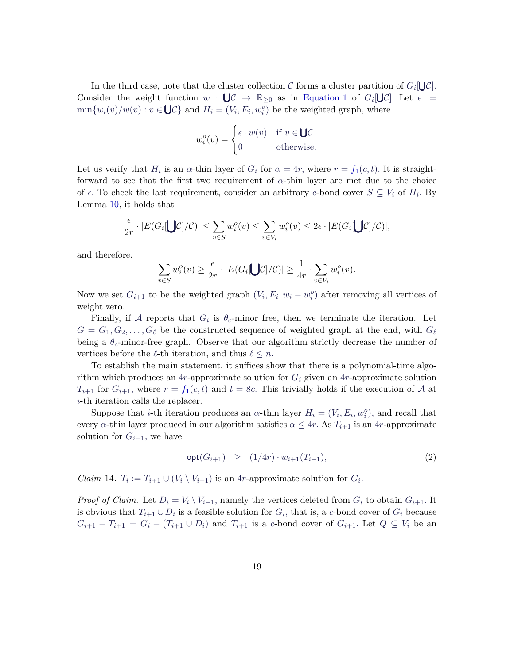In the third case, note that the cluster collection  $C$  forms a cluster partition of  $G_i[\bigcup C]$ . Consider the weight function  $w : \bigcup \mathcal{C} \to \mathbb{R}_{\geq 0}$  as in [Equation 1](#page-13-2) of  $G_i[\bigcup \mathcal{C}]$ . Let  $\epsilon :=$  $\min\{w_i(v)/w(v): v \in \bigcup \mathcal{C}\}\$ and  $H_i = (V_i, E_i, w_i^o)$  be the weighted graph, where

$$
w_i^o(v) = \begin{cases} \epsilon \cdot w(v) & \text{if } v \in \mathbf{U} \mathcal{C} \\ 0 & \text{otherwise.} \end{cases}
$$

Let us veri[f](#page-5-0)y that  $H_i$  is an  $\alpha$ -thin layer of  $G_i$  for  $\alpha = 4r$ , where  $r = f_1(c, t)$ . It is straightforward to see that the first two requirement of *α*-thin layer are met due to the choice of  $\epsilon$ . To check the last requirement, consider an arbitrary *c*-bond cover  $S \subseteq V_i$  of  $H_i$ . By Lemma [10,](#page-13-1) it holds that

$$
\frac{\epsilon}{2r} \cdot |E(G_i \bigcup \mathcal{C})/\mathcal{C})| \le \sum_{v \in S} w_i^o(v) \le \sum_{v \in V_i} w_i^o(v) \le 2\epsilon \cdot |E(G_i \bigcup \mathcal{C})/\mathcal{C})|,
$$

and therefore,

$$
\sum_{v \in S} w_i^o(v) \ge \frac{\epsilon}{2r} \cdot |E(G_i \bigcup C]/C)| \ge \frac{1}{4r} \cdot \sum_{v \in V_i} w_i^o(v).
$$

Now we set  $G_{i+1}$  to be the weighted graph  $(V_i, E_i, w_i - w_i^o)$  after removing all vertices of weight zero.

Finally, if A reports that  $G_i$  is  $\theta_c$ -minor free, then we terminate the iteration. Let  $G = G_1, G_2, \ldots, G_\ell$  be the constructed sequence of weighted graph at the end, with  $G_\ell$ being a *θc*-minor-free graph. Observe that our algorithm strictly decrease the number of vertices before the  $\ell$ -th iteration, and thus  $\ell \leq n$ .

To establish the main statement, it suffices show that there is a polynomial-time algorithm which produces an 4*r*-approximate solution for *G<sup>i</sup>* given an 4*r*-approximate solution  $T_{i+1}$  [f](#page-5-0)or  $G_{i+1}$ , where  $r = f_1(c, t)$  and  $t = 8c$ . This trivially holds if the execution of A at *i*-th iteration calls the replacer.

Suppose that *i*-th iteration produces an *α*-thin layer  $H_i = (V_i, E_i, w_i^o)$ , and recall that every *α*-thin layer produced in our algorithm satisfies  $\alpha \leq 4r$ . As  $T_{i+1}$  is an 4*r*-approximate solution for  $G_{i+1}$ , we have

<span id="page-18-0"></span>
$$
opt(G_{i+1}) \geq (1/4r) \cdot w_{i+1}(T_{i+1}), \tag{2}
$$

*Claim* 14.  $T_i := T_{i+1} \cup (V_i \setminus V_{i+1})$  is an 4*r*-approximate solution for  $G_i$ .

*Proof of Claim.* Let  $D_i = V_i \setminus V_{i+1}$ , namely the vertices deleted from  $G_i$  to obtain  $G_{i+1}$ . It is obvious that  $T_{i+1} \cup D_i$  is a feasible solution for  $G_i$ , that is, a *c*-bond cover of  $G_i$  because  $G_{i+1} - T_{i+1} = G_i - (T_{i+1} \cup D_i)$  and  $T_{i+1}$  is a *c*-bond cover of  $G_{i+1}$ . Let  $Q \subseteq V_i$  be an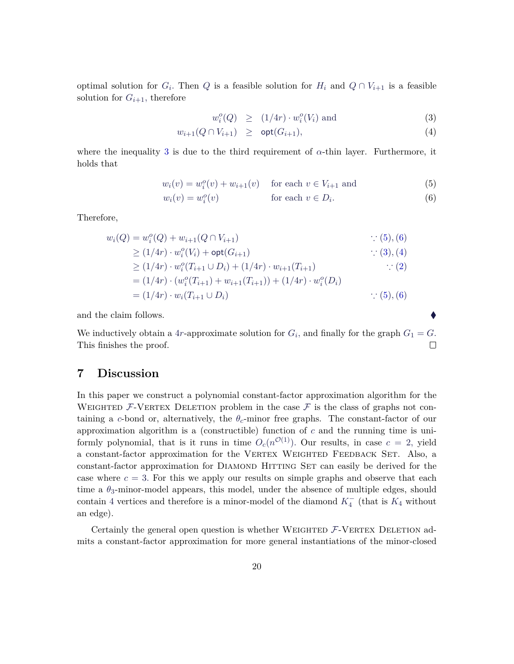optimal solution for  $G_i$ . Then  $Q$  is a feasible solution for  $H_i$  and  $Q \cap V_{i+1}$  is a feasible solution for  $G_{i+1}$ , therefore

<span id="page-19-1"></span>
$$
w_i^o(Q) \geq (1/4r) \cdot w_i^o(V_i) \text{ and } (3)
$$

$$
w_{i+1}(Q \cap V_{i+1}) \geq \mathsf{opt}(G_{i+1}), \tag{4}
$$

where the inequality [3](#page-19-1) is due to the third requirement of  $\alpha$ -thin layer. Furthermore, it holds that

<span id="page-19-2"></span>
$$
w_i(v) = w_i^o(v) + w_{i+1}(v) \quad \text{for each } v \in V_{i+1} \text{ and } (5)
$$

$$
w_i(v) = w_i^o(v) \qquad \text{for each } v \in D_i.
$$
 (6)

Therefore,

$$
w_i(Q) = w_i^o(Q) + w_{i+1}(Q \cap V_{i+1}) \qquad \qquad \therefore (5), (6)
$$
  
\n
$$
\geq (1/4r) \cdot w_i^o(V_i) + \text{opt}(G_{i+1}) \qquad \qquad \therefore (3), (4)
$$
  
\n
$$
\geq (1/4r) \cdot w_i^o(T_{i+1} \cup D_i) + (1/4r) \cdot w_{i+1}(T_{i+1}) \qquad \qquad \therefore (2)
$$
  
\n
$$
= (1/4r) \cdot (w_i^o(T_{i+1}) + w_{i+1}(T_{i+1})) + (1/4r) \cdot w_i^o(D_i)
$$
  
\n
$$
= (1/4r) \cdot w_i(T_{i+1} \cup D_i) \qquad \qquad \therefore (5), (6)
$$

and the claim follows.

We inductively obtain a 4*r*-approximate solution for  $G_i$ , and finally for the graph  $G_1 = G$ . This finishes the proof. □

# <span id="page-19-0"></span>**7 Discussion**

In this paper we construct a polynomial constant-factor approximation algorithm for the WEIGHTED  $F$ -VERTEX DELETION problem in the case  $F$  is the class of graphs not containing a *c*-bond or, alternatively, the  $\theta_c$ -minor free graphs. The constant-factor of our approximation algorithm is a (constructible) function of *c* and the running time is uniformly polynomial, that is it runs in time  $O_c(n^{\mathcal{O}(1)})$ . Our results, in case  $c = 2$ , yield a constant-factor approximation for the VERTEX WEIGHTED FEEDBACK SET. Also, a constant-factor approximation for DIAMOND HITTING SET can easily be derived for the case where  $c = 3$ . For this we apply our results on simple graphs and observe that each time a  $\theta_3$ -minor-model appears, this model, under the absence of multiple edges, should contain 4 vertices and therefore is a minor-model of the diamond  $K_4^-$  (that is  $K_4$  without an edge).

Certainly the general open question is whether WEIGHTED  $F$ -VERTEX DELETION admits a constant-factor approximation for more general instantiations of the minor-closed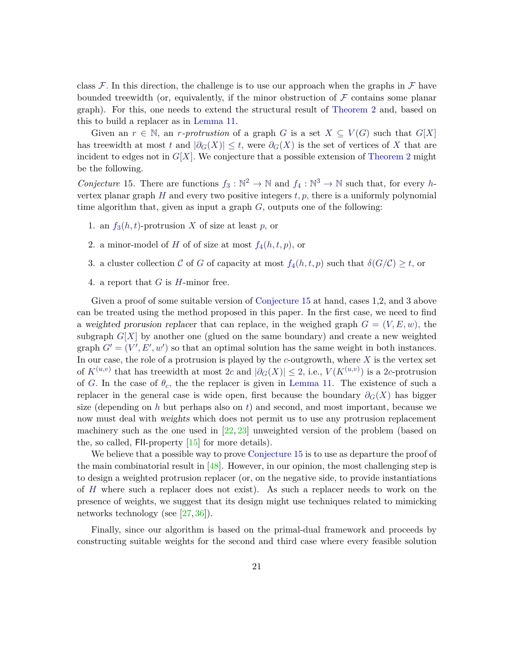class  $\mathcal F$ . In this direction, the challenge is to use our approach when the graphs in  $\mathcal F$  have bounded treewidth (or, equivalently, if the minor obstruction of  $F$  contains some planar graph). For this, one needs to extend the structural result of [Theorem 2](#page-4-2) and, based on this to build a replacer as in [Lemma 11.](#page-14-3)

Given an  $r \in \mathbb{N}$ , an *r*-protrustion of a graph *G* is a set  $X \subseteq V(G)$  such that  $G[X]$ has treewidth at most *t* and  $|\partial_G(X)| \leq t$ , were  $\partial_G(X)$  is the set of vertices of X that are incident to edges not in  $G[X]$ . We conjecture that a possible extension of [Theorem 2](#page-4-2) might be the following.

<span id="page-20-2"></span>*Conjecture* 15. There are functions  $f_3 : \mathbb{N}^2 \to \mathbb{N}$  and  $f_4 : \mathbb{N}^3 \to \mathbb{N}$  such that, for every *h*vertex planar graph  $H$  and every two positive integers  $t, p$ , there is a uniformly polynomial time algorithm that, given as input a graph *G,* outputs one of the following:

- <span id="page-20-1"></span><span id="page-20-0"></span>1. an  $f_3(h, t)$  $f_3(h, t)$ -protrusion *X* of size at least *p*, or
- 2. a minor-model o[f](#page-20-1) *H* of of size at most  $f_4(h, t, p)$ , or
- 3. a cluster collection C o[f](#page-20-1) G of capacity at most  $f_4(h, t, p)$  such that  $\delta(G/C) \geq t$ , or
- 4. a report that *G* is *H*-minor free.

Given a proof of some suitable version of [Conjecture 15](#page-20-2) at hand, cases 1,2, and 3 above can be treated using the method proposed in this paper. In the first case, we need to find a weighted prorusion replacer that can replace, in the weighed graph  $G = (V, E, w)$ , the subgraph  $G[X]$  by another one (glued on the same boundary) and create a new weighted graph  $G' = (V', E', w')$  so that an optimal solution has the same weight in both instances. In our case, the role of a protrusion is played by the  $c$ -outgrowth, where  $X$  is the vertex set of  $K^{(u,v)}$  that has treewidth at most 2*c* and  $|\partial_G(X)| \leq 2$ , i.e.,  $V(K^{(u,v)})$  is a 2*c*-protrusion of *G*. In the case of  $\theta_c$ , the the replacer is given in [Lemma 11.](#page-14-3) The existence of such a replacer in the general case is wide open, first because the boundary  $\partial_G(X)$  has bigger size (depending on *h* but perhaps also on *t*) and second, and most important, because we now must deal with weights which does not permit us to use any protrusion replacement machinery such as the one used in [\[22,](#page-23-5) [23\]](#page-23-3) unweighted version of the problem (based on the, so called, FII-property [\[15\]](#page-22-10) for more details).

We believe that a possible way to prove [Conjecture 15](#page-20-2) is to use as departure the proof of the main combinatorial result in [\[48\]](#page-25-7). However, in our opinion, the most challenging step is to design a weighted protrusion replacer (or, on the negative side, to provide instantiations of *H* where such a replacer does not exist). As such a replacer needs to work on the presence of weights, we suggest that its design might use techniques related to mimicking networks technology (see [\[27,](#page-23-6) [36\]](#page-24-11)).

Finally, since our algorithm is based on the primal-dual framework and proceeds by constructing suitable weights for the second and third case where every feasible solution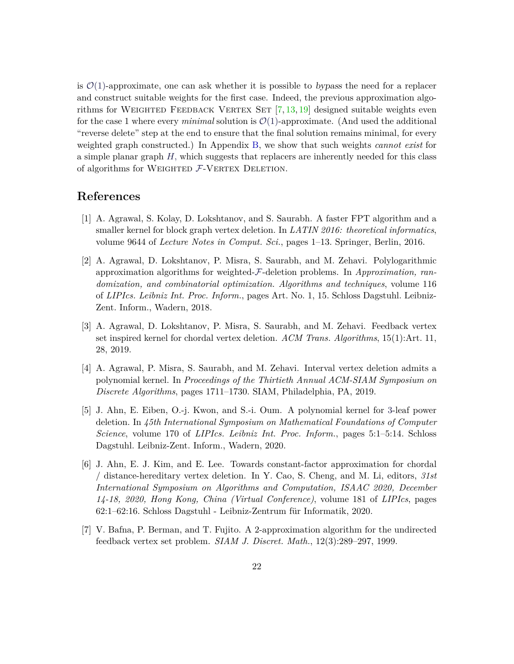is  $\mathcal{O}(1)$ -approximate, one can ask whether it is possible to bypass the need for a replacer and construct suitable weights for the first case. Indeed, the previous approximation algorithms for WEIGHTED FEEDBACK VERTEX SET  $[7, 13, 19]$  $[7, 13, 19]$  $[7, 13, 19]$  $[7, 13, 19]$  $[7, 13, 19]$  designed suitable weights even for the case 1 where every *minimal* solution is  $\mathcal{O}(1)$ -approximate. (And used the additional "reverse delete" step at the end to ensure that the final solution remains minimal, for every weighted graph constructed.) In Appendix [B,](#page-27-0) we show that such weights *cannot exist* for a simple planar graph *H,* which suggests that replacers are inherently needed for this class of algorithms for WEIGHTED  $F$ -VERTEX DELETION.

#### **References**

- <span id="page-21-0"></span>[1] A. Agrawal, S. Kolay, D. Lokshtanov, and S. Saurabh. A faster FPT algorithm and a smaller kernel for block graph vertex deletion. In *LATIN 2016: theoretical informatics*, volume 9644 of *Lecture Notes in Comput. Sci.*, pages 1–13. Springer, Berlin, 2016.
- <span id="page-21-3"></span>[2] A. Agrawal, D. Lokshtanov, P. Misra, S. Saurabh, and M. Zehavi. Polylogarithmic approximation algorithms for weighted-F-deletion problems. In *Approximation, randomization, and combinatorial optimization. Algorithms and techniques*, volume 116 of *LIPIcs. Leibniz Int. Proc. Inform.*, pages Art. No. 1, 15. Schloss Dagstuhl. Leibniz-Zent. Inform., Wadern, 2018.
- <span id="page-21-1"></span>[3] A. Agrawal, D. Lokshtanov, P. Misra, S. Saurabh, and M. Zehavi. Feedback vertex set inspired kernel for chordal vertex deletion. *ACM Trans. Algorithms*, 15(1):Art. 11, 28, 2019.
- [4] A. Agrawal, P. Misra, S. Saurabh, and M. Zehavi. Interval vertex deletion admits a polynomial kernel. In *Proceedings of the Thirtieth Annual ACM-SIAM Symposium on Discrete Algorithms*, pages 1711–1730. SIAM, Philadelphia, PA, 2019.
- <span id="page-21-5"></span>[5] J. Ahn, E. Eiben, O.-j. Kwon, and S.-i. Oum. A polynomial kernel for 3-leaf power deletion. In *45th International Symposium on Mathematical Foundations of Computer Science*, volume 170 of *LIPIcs. Leibniz Int. Proc. Inform.*, pages 5:1–5:14. Schloss Dagstuhl. Leibniz-Zent. Inform., Wadern, 2020.
- <span id="page-21-2"></span>[6] J. Ahn, E. J. Kim, and E. Lee. Towards constant-factor approximation for chordal / distance-hereditary vertex deletion. In Y. Cao, S. Cheng, and M. Li, editors, *31st International Symposium on Algorithms and Computation, ISAAC 2020, December 14-18, 2020, Hong Kong, China (Virtual Conference)*, volume 181 of *LIPIcs*, pages 62:1–62:16. Schloss Dagstuhl - Leibniz-Zentrum für Informatik, 2020.
- <span id="page-21-4"></span>[7] V. Bafna, P. Berman, and T. Fujito. A 2-approximation algorithm for the undirected feedback vertex set problem. *SIAM J. Discret. Math.*, 12(3):289–297, 1999.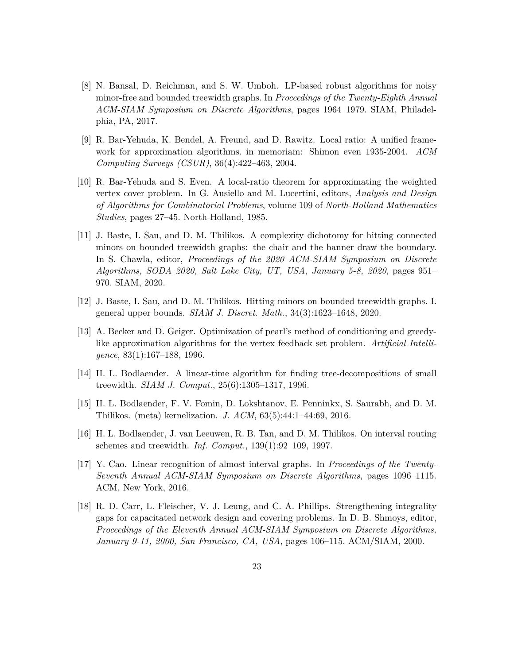- <span id="page-22-1"></span>[8] N. Bansal, D. Reichman, and S. W. Umboh. LP-based robust algorithms for noisy minor-free and bounded treewidth graphs. In *Proceedings of the Twenty-Eighth Annual ACM-SIAM Symposium on Discrete Algorithms*, pages 1964–1979. SIAM, Philadelphia, PA, 2017.
- <span id="page-22-5"></span>[9] R. Bar-Yehuda, K. Bendel, A. Freund, and D. Rawitz. Local ratio: A unified framework for approximation algorithms. in memoriam: Shimon even 1935-2004. *ACM Computing Surveys (CSUR)*, 36(4):422–463, 2004.
- <span id="page-22-4"></span>[10] R. Bar-Yehuda and S. Even. A local-ratio theorem for approximating the weighted vertex cover problem. In G. Ausiello and M. Lucertini, editors, *Analysis and Design of Algorithms for Combinatorial Problems*, volume 109 of *North-Holland Mathematics Studies*, pages 27–45. North-Holland, 1985.
- <span id="page-22-2"></span>[11] J. Baste, I. Sau, and D. M. Thilikos. A complexity dichotomy for hitting connected minors on bounded treewidth graphs: the chair and the banner draw the boundary. In S. Chawla, editor, *Proceedings of the 2020 ACM-SIAM Symposium on Discrete Algorithms, SODA 2020, Salt Lake City, UT, USA, January 5-8, 2020*, pages 951– 970. SIAM, 2020.
- <span id="page-22-8"></span>[12] J. Baste, I. Sau, and D. M. Thilikos. Hitting minors on bounded treewidth graphs. I. general upper bounds. *SIAM J. Discret. Math.*, 34(3):1623–1648, 2020.
- <span id="page-22-3"></span>[13] A. Becker and D. Geiger. Optimization of pearl's method of conditioning and greedylike approximation algorithms for the vertex feedback set problem. *Artificial Intelligence*, 83(1):167–188, 1996.
- <span id="page-22-9"></span>[14] H. L. Bodlaender. A linear-time algorithm for finding tree-decompositions of small treewidth. *SIAM J. Comput.*, 25(6):1305–1317, 1996.
- <span id="page-22-10"></span>[15] H. L. Bodlaender, F. V. Fomin, D. Lokshtanov, E. Penninkx, S. Saurabh, and D. M. Thilikos. (meta) kernelization. *J. ACM*, 63(5):44:1–44:69, 2016.
- <span id="page-22-7"></span>[16] H. L. Bodlaender, J. van Leeuwen, R. B. Tan, and D. M. Thilikos. On interval routing schemes and treewidth. *Inf. Comput.*, 139(1):92–109, 1997.
- <span id="page-22-0"></span>[17] Y. Cao. Linear recognition of almost interval graphs. In *Proceedings of the Twenty-Seventh Annual ACM-SIAM Symposium on Discrete Algorithms*, pages 1096–1115. ACM, New York, 2016.
- <span id="page-22-6"></span>[18] R. D. Carr, L. Fleischer, V. J. Leung, and C. A. Phillips. Strengthening integrality gaps for capacitated network design and covering problems. In D. B. Shmoys, editor, *Proceedings of the Eleventh Annual ACM-SIAM Symposium on Discrete Algorithms, January 9-11, 2000, San Francisco, CA, USA*, pages 106–115. ACM/SIAM, 2000.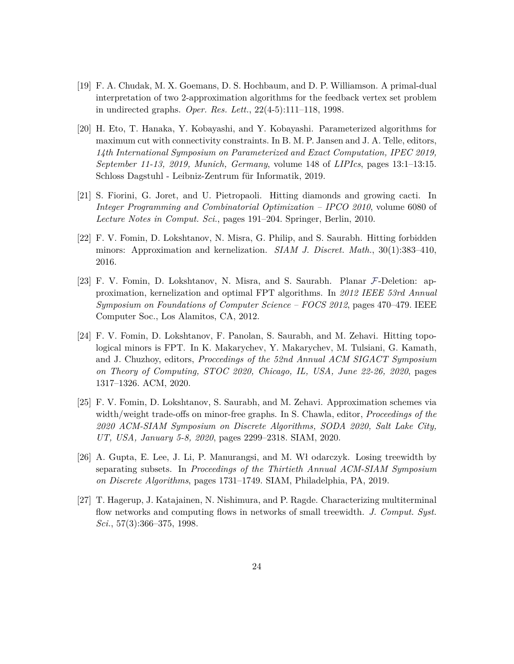- <span id="page-23-0"></span>[19] F. A. Chudak, M. X. Goemans, D. S. Hochbaum, and D. P. Williamson. A primal-dual interpretation of two 2-approximation algorithms for the feedback vertex set problem in undirected graphs. *Oper. Res. Lett.*, 22(4-5):111–118, 1998.
- <span id="page-23-4"></span>[20] H. Eto, T. Hanaka, Y. Kobayashi, and Y. Kobayashi. Parameterized algorithms for maximum cut with connectivity constraints. In B. M. P. Jansen and J. A. Telle, editors, *14th International Symposium on Parameterized and Exact Computation, IPEC 2019, September 11-13, 2019, Munich, Germany*, volume 148 of *LIPIcs*, pages 13:1–13:15. Schloss Dagstuhl - Leibniz-Zentrum für Informatik, 2019.
- <span id="page-23-1"></span>[21] S. Fiorini, G. Joret, and U. Pietropaoli. Hitting diamonds and growing cacti. In *Integer Programming and Combinatorial Optimization – IPCO 2010*, volume 6080 of *Lecture Notes in Comput. Sci.*, pages 191–204. Springer, Berlin, 2010.
- <span id="page-23-5"></span>[22] F. V. Fomin, D. Lokshtanov, N. Misra, G. Philip, and S. Saurabh. Hitting forbidden minors: Approximation and kernelization. *SIAM J. Discret. Math.*, 30(1):383–410, 2016.
- <span id="page-23-3"></span>[23] F. V. Fomin, D. Lokshtanov, N. Misra, and S. Saurabh. Planar F-Deletion: approximation, kernelization and optimal FPT algorithms. In *2012 IEEE 53rd Annual Symposium on Foundations of Computer Science – FOCS 2012*, pages 470–479. IEEE Computer Soc., Los Alamitos, CA, 2012.
- [24] F. V. Fomin, D. Lokshtanov, F. Panolan, S. Saurabh, and M. Zehavi. Hitting topological minors is FPT. In K. Makarychev, Y. Makarychev, M. Tulsiani, G. Kamath, and J. Chuzhoy, editors, *Proccedings of the 52nd Annual ACM SIGACT Symposium on Theory of Computing, STOC 2020, Chicago, IL, USA, June 22-26, 2020*, pages 1317–1326. ACM, 2020.
- [25] F. V. Fomin, D. Lokshtanov, S. Saurabh, and M. Zehavi. Approximation schemes via width/weight trade-offs on minor-free graphs. In S. Chawla, editor, *Proceedings of the 2020 ACM-SIAM Symposium on Discrete Algorithms, SODA 2020, Salt Lake City, UT, USA, January 5-8, 2020*, pages 2299–2318. SIAM, 2020.
- <span id="page-23-2"></span>[26] A. Gupta, E. Lee, J. Li, P. Manurangsi, and M. Wł odarczyk. Losing treewidth by separating subsets. In *Proceedings of the Thirtieth Annual ACM-SIAM Symposium on Discrete Algorithms*, pages 1731–1749. SIAM, Philadelphia, PA, 2019.
- <span id="page-23-6"></span>[27] T. Hagerup, J. Katajainen, N. Nishimura, and P. Ragde. Characterizing multiterminal flow networks and computing flows in networks of small treewidth. *J. Comput. Syst. Sci.*, 57(3):366–375, 1998.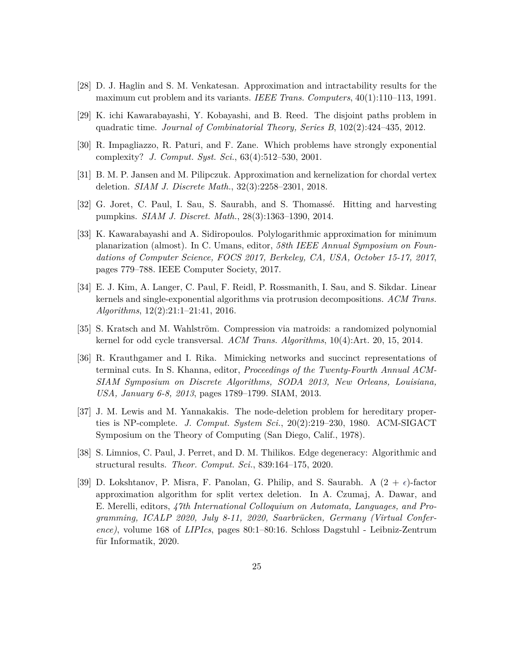- <span id="page-24-9"></span>[28] D. J. Haglin and S. M. Venkatesan. Approximation and intractability results for the maximum cut problem and its variants. *IEEE Trans. Computers*, 40(1):110–113, 1991.
- <span id="page-24-6"></span>[29] K. ichi Kawarabayashi, Y. Kobayashi, and B. Reed. The disjoint paths problem in quadratic time. *Journal of Combinatorial Theory, Series B*, 102(2):424–435, 2012.
- <span id="page-24-7"></span>[30] R. Impagliazzo, R. Paturi, and F. Zane. Which problems have strongly exponential complexity? *J. Comput. Syst. Sci.*, 63(4):512–530, 2001.
- <span id="page-24-0"></span>[31] B. M. P. Jansen and M. Pilipczuk. Approximation and kernelization for chordal vertex deletion. *SIAM J. Discrete Math.*, 32(3):2258–2301, 2018.
- <span id="page-24-8"></span>[32] G. Joret, C. Paul, I. Sau, S. Saurabh, and S. Thomassé. Hitting and harvesting pumpkins. *SIAM J. Discret. Math.*, 28(3):1363–1390, 2014.
- <span id="page-24-3"></span>[33] K. Kawarabayashi and A. Sidiropoulos. Polylogarithmic approximation for minimum planarization (almost). In C. Umans, editor, *58th IEEE Annual Symposium on Foundations of Computer Science, FOCS 2017, Berkeley, CA, USA, October 15-17, 2017*, pages 779–788. IEEE Computer Society, 2017.
- <span id="page-24-4"></span>[34] E. J. Kim, A. Langer, C. Paul, F. Reidl, P. Rossmanith, I. Sau, and S. Sikdar. Linear kernels and single-exponential algorithms via protrusion decompositions. *ACM Trans. Algorithms*, 12(2):21:1–21:41, 2016.
- <span id="page-24-1"></span>[35] S. Kratsch and M. Wahlström. Compression via matroids: a randomized polynomial kernel for odd cycle transversal. *ACM Trans. Algorithms*, 10(4):Art. 20, 15, 2014.
- <span id="page-24-11"></span>[36] R. Krauthgamer and I. Rika. Mimicking networks and succinct representations of terminal cuts. In S. Khanna, editor, *Proceedings of the Twenty-Fourth Annual ACM-SIAM Symposium on Discrete Algorithms, SODA 2013, New Orleans, Louisiana, USA, January 6-8, 2013*, pages 1789–1799. SIAM, 2013.
- <span id="page-24-5"></span>[37] J. M. Lewis and M. Yannakakis. The node-deletion problem for hereditary properties is NP-complete. *J. Comput. System Sci.*, 20(2):219–230, 1980. ACM-SIGACT Symposium on the Theory of Computing (San Diego, Calif., 1978).
- <span id="page-24-10"></span>[38] S. Limnios, C. Paul, J. Perret, and D. M. Thilikos. Edge degeneracy: Algorithmic and structural results. *Theor. Comput. Sci.*, 839:164–175, 2020.
- <span id="page-24-2"></span>[39] D. Lokshtanov, P. Misra, F. Panolan, G. Philip, and S. Saurabh. A  $(2 + \epsilon)$ -factor approximation algorithm for split vertex deletion. In A. Czumaj, A. Dawar, and E. Merelli, editors, *47th International Colloquium on Automata, Languages, and Programming, ICALP 2020, July 8-11, 2020, Saarbrücken, Germany (Virtual Conference)*, volume 168 of *LIPIcs*, pages 80:1–80:16. Schloss Dagstuhl - Leibniz-Zentrum für Informatik, 2020.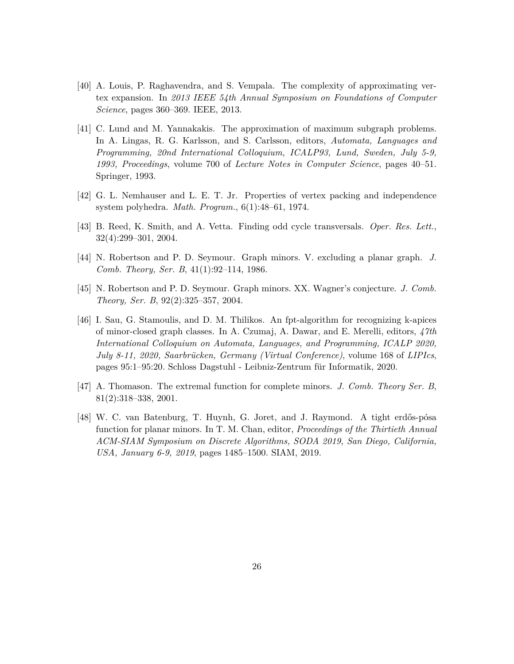- <span id="page-25-6"></span>[40] A. Louis, P. Raghavendra, and S. Vempala. The complexity of approximating vertex expansion. In *2013 IEEE 54th Annual Symposium on Foundations of Computer Science*, pages 360–369. IEEE, 2013.
- <span id="page-25-2"></span>[41] C. Lund and M. Yannakakis. The approximation of maximum subgraph problems. In A. Lingas, R. G. Karlsson, and S. Carlsson, editors, *Automata, Languages and Programming, 20nd International Colloquium, ICALP93, Lund, Sweden, July 5-9, 1993, Proceedings*, volume 700 of *Lecture Notes in Computer Science*, pages 40–51. Springer, 1993.
- <span id="page-25-5"></span>[42] G. L. Nemhauser and L. E. T. Jr. Properties of vertex packing and independence system polyhedra. *Math. Program.*, 6(1):48–61, 1974.
- <span id="page-25-0"></span>[43] B. Reed, K. Smith, and A. Vetta. Finding odd cycle transversals. *Oper. Res. Lett.*, 32(4):299–301, 2004.
- <span id="page-25-4"></span>[44] N. Robertson and P. D. Seymour. Graph minors. V. excluding a planar graph. *J. Comb. Theory, Ser. B*, 41(1):92–114, 1986.
- <span id="page-25-3"></span>[45] N. Robertson and P. D. Seymour. Graph minors. XX. Wagner's conjecture. *J. Comb. Theory, Ser. B*, 92(2):325–357, 2004.
- <span id="page-25-1"></span>[46] I. Sau, G. Stamoulis, and D. M. Thilikos. An fpt-algorithm for recognizing k-apices of minor-closed graph classes. In A. Czumaj, A. Dawar, and E. Merelli, editors, *47th International Colloquium on Automata, Languages, and Programming, ICALP 2020, July 8-11, 2020, Saarbrücken, Germany (Virtual Conference)*, volume 168 of *LIPIcs*, pages 95:1–95:20. Schloss Dagstuhl - Leibniz-Zentrum für Informatik, 2020.
- <span id="page-25-8"></span>[47] A. Thomason. The extremal function for complete minors. *J. Comb. Theory Ser. B*, 81(2):318–338, 2001.
- <span id="page-25-7"></span>[48] W. C. van Batenburg, T. Huynh, G. Joret, and J. Raymond. A tight erdős-pósa function for planar minors. In T. M. Chan, editor, *Proceedings of the Thirtieth Annual ACM-SIAM Symposium on Discrete Algorithms, SODA 2019, San Diego, California, USA, January 6-9, 2019*, pages 1485–1500. SIAM, 2019.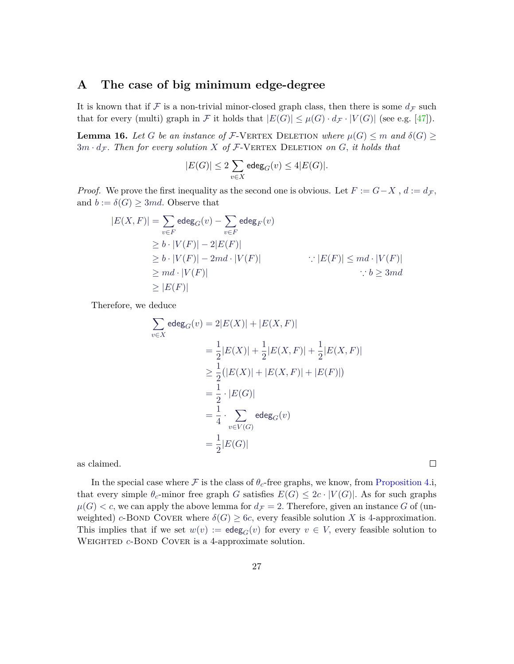#### <span id="page-26-0"></span>**A The case of big minimum edge-degree**

It is known that if  $\mathcal F$  is a non-trivial minor-closed graph class, then there is some  $d_{\mathcal F}$  such that for every (multi) graph in F it holds that  $|E(G)| \leq \mu(G) \cdot d_{\mathcal{F}} \cdot |V(G)|$  (see e.g. [\[47\]](#page-25-8)).

**Lemma 16.** Let *G* be an instance of F-VERTEX DELETION where  $\mu(G) \leq m$  and  $\delta(G)$  $3m \cdot d_{\mathcal{F}}$ . Then for every solution X of  $\mathcal{F}\text{-}\text{VERTEX}\$  DELETION on G, it holds that

$$
|E(G)| \leq 2\sum_{v\in X}\text{edeg}_G(v) \leq 4|E(G)|.
$$

*Proof.* We prove the first inequality as the second one is obvious. Let  $F := G - X$ ,  $d := d_{\mathcal{F}}$ , and  $b := \delta(G) \geq 3md$ . Observe that

$$
|E(X, F)| = \sum_{v \in F} \text{edeg}_G(v) - \sum_{v \in F} \text{edeg}_F(v)
$$
  
\n
$$
\geq b \cdot |V(F)| - 2|E(F)|
$$
  
\n
$$
\geq b \cdot |V(F)| - 2md \cdot |V(F)| \qquad \qquad \therefore |E(F)| \leq md \cdot |V(F)|
$$
  
\n
$$
\geq md \cdot |V(F)| \qquad \qquad \therefore b \geq 3md
$$
  
\n
$$
\geq |E(F)| \qquad \qquad \therefore b \geq 3md
$$

Therefore, we deduce

$$
\sum_{v \in X} \text{edeg}_G(v) = 2|E(X)| + |E(X, F)|
$$
  
=  $\frac{1}{2}|E(X)| + \frac{1}{2}|E(X, F)| + \frac{1}{2}|E(X, F)|$   
 $\geq \frac{1}{2}(|E(X)| + |E(X, F)| + |E(F)|)$   
=  $\frac{1}{2} \cdot |E(G)|$   
=  $\frac{1}{4} \cdot \sum_{v \in V(G)} \text{edeg}_G(v)$   
=  $\frac{1}{2}|E(G)|$ 

as claimed.

In the special case where  $\mathcal F$  is the class of  $\theta_c$ -free graphs, we know, from [Proposition 4.](#page-7-1)i, that every simple  $\theta_c$ -minor free graph *G* satisfies  $E(G) \leq 2c \cdot |V(G)|$ . As for such graphs  $\mu(G) < c$ , we can apply the above lemma for  $d_{\mathcal{F}} = 2$ . Therefore, given an instance *G* of (unweighted) *c*-BOND COVER where  $\delta(G) \geq 6c$ , every feasible solution *X* is 4-approximation. This implies that if we set  $w(v) := \deg_G(v)$  for every  $v \in V$ , every feasible solution to WEIGHTED *c*-BOND COVER is a 4-approximate solution.

 $\Box$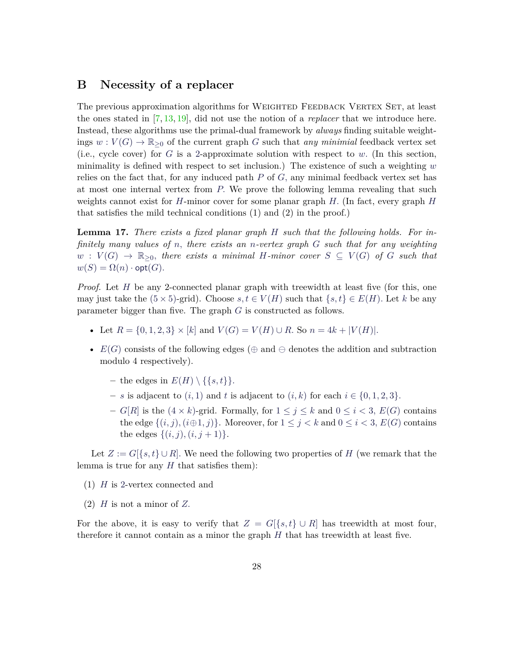### <span id="page-27-0"></span>**B Necessity of a replacer**

The previous approximation algorithms for WEIGHTED FEEDBACK VERTEX SET, at least the ones stated in [\[7,](#page-21-4) [13,](#page-22-3) [19\]](#page-23-0), did not use the notion of a *replacer* that we introduce here. Instead, these algorithms use the primal-dual framework by *always* finding suitable weightings  $w: V(G) \to \mathbb{R}_{\geq 0}$  of the current graph *G* such that *any minimial* feedback vertex set (i.e., cycle cover) for  $G$  is a 2-approximate solution with respect to  $w$ . (In this section, minimality is defined with respect to set inclusion.) The existence of such a weighting *w* relies on the fact that, for any induced path *P* of *G,* any minimal feedback vertex set has at most one internal vertex from *P.* We prove the following lemma revealing that such weights cannot exist for *H*-minor cover for some planar graph *H.* (In fact, every graph *H* that satisfies the mild technical conditions (1) and (2) in the proof.)

<span id="page-27-1"></span>**Lemma 17.** *There exists a fixed planar graph H such that the following holds. For infinitely many values of n, there exists an n-vertex graph G such that for any weighting*  $w: V(G) \to \mathbb{R}_{\geq 0}$ , there exists a minimal *H*-minor cover  $S \subseteq V(G)$  of *G* such that  $w(S) = \Omega(n) \cdot \mathsf{opt}(G)$ .

*Proof.* Let *H* be any 2-connected planar graph with treewidth at least five (for this, one may just take the  $(5 \times 5)$ -grid). Choose  $s, t \in V(H)$  such that  $\{s, t\} \in E(H)$ . Let *k* be any parameter bigger than five. The graph *G* is constructed as follows.

- Let  $R = \{0, 1, 2, 3\} \times [k]$  and  $V(G) = V(H) \cup R$ . So  $n = 4k + |V(H)|$ .
- $E(G)$  consists of the following edges ( $\oplus$  and  $\ominus$  denotes the addition and subtraction modulo 4 respectively).
	- $-$  the edges in  $E(H) \setminus \{\{s,t\}\}.$
	- $-$  *s* is adjacent to  $(i, 1)$  and *t* is adjacent to  $(i, k)$  for each  $i \in \{0, 1, 2, 3\}$ .
	- **–** *G*[*R*] is the (4 × *k*)-grid. Formally, for 1 ≤ *j* ≤ *k* and 0 ≤ *i <* 3*, E*(*G*) contains the edge  $\{(i, j), (i \oplus 1, j)\}$ . Moreover, for  $1 \leq j < k$  and  $0 \leq i < 3$ ,  $E(G)$  contains the edges  $\{(i, j), (i, j + 1)\}.$

Let  $Z := G[\{s,t\} \cup R]$ . We need the following two properties of H (we remark that the lemma is true for any *H* that satisfies them):

- (1) *H* is 2-vertex connected and
- (2) *H* is not a minor of *Z.*

For the above, it is easy to verify that  $Z = G[{s,t} \cup R]$  has treewidth at most four, therefore it cannot contain as a minor the graph *H* that has treewidth at least five.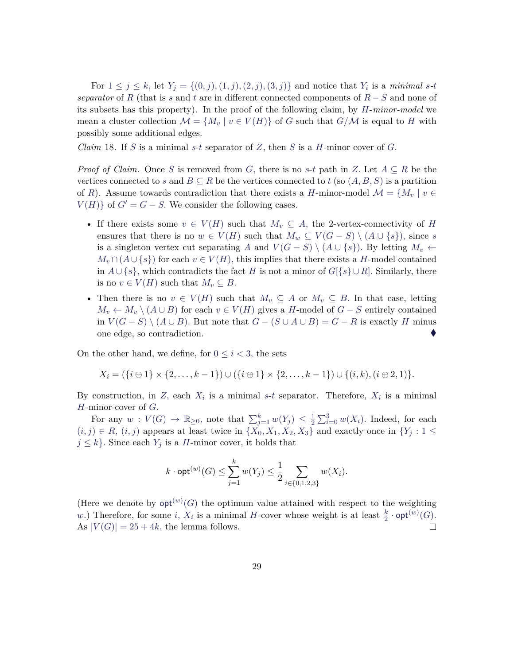For  $1 \leq j \leq k$ , let  $Y_j = \{(0, j), (1, j), (2, j), (3, j)\}$  and notice that  $Y_i$  is a *minimal s*-*t separator* of *R* (that is *s* and *t* are in different connected components of *R* − *S* and none of its subsets has this property). In the proof of the following claim, by *H*-*minor-model* we mean a cluster collection  $\mathcal{M} = \{M_v \mid v \in V(H)\}\$  of *G* such that  $G/\mathcal{M}$  is equal to *H* with possibly some additional edges.

*Claim* 18*.* If *S* is a minimal *s*-*t* separator of *Z*, then *S* is a *H*-minor cover of *G.*

*Proof of Claim.* Once *S* is removed from *G*, there is no *s*-*t* path in *Z*. Let  $A \subseteq R$  be the vertices connected to *s* and  $B \subseteq R$  be the vertices connected to *t* (so  $(A, B, S)$ ) is a partition of *R*). Assume towards contradiction that there exists a *H*-minor-model  $\mathcal{M} = \{M_v \mid v \in$  $V(H)$  of  $G' = G - S$ . We consider the following cases.

- If there exists some  $v \in V(H)$  such that  $M_v \subseteq A$ , the 2-vertex-connectivity of *H* ensures that there is no  $w \in V(H)$  such that  $M_w \subseteq V(G-S) \setminus (A \cup \{s\})$ , since *s* is a singleton vertex cut separating *A* and  $V(G - S) \setminus (A \cup \{s\})$ . By letting  $M_v \leftarrow$  $M_v \cap (A \cup \{s\})$  for each  $v \in V(H)$ , this implies that there exists a *H*-model contained in  $A \cup \{s\}$ , which contradicts the fact *H* is not a minor of  $G[\{s\} \cup R]$ . Similarly, there is no  $v \in V(H)$  such that  $M_v \subseteq B$ .
- Then there is no  $v \in V(H)$  such that  $M_v \subseteq A$  or  $M_v \subseteq B$ . In that case, letting *M*<sup>*v*</sup> ← *M*<sup>*v*</sup>  $\setminus$  (*A* ∪ *B*) for each *v* ∈ *V*(*H*) gives a *H*-model of *G* − *S* entirely contained in *V* (*G* − *S*) \ (*A* ∪ *B*)*.* But note that *G* − (*S* ∪ *A* ∪ *B*) = *G* − *R* is exactly *H* minus one edge, so contradiction.

On the other hand, we define, for  $0 \leq i < 3$ , the sets

$$
X_i = (\{i \ominus 1\} \times \{2, \ldots, k-1\}) \cup (\{i \oplus 1\} \times \{2, \ldots, k-1\}) \cup \{(i,k), (i \oplus 2, 1)\}.
$$

By construction, in  $Z$ , each  $X_i$  is a minimal  $s-t$  separator. Therefore,  $X_i$  is a minimal *H*-minor-cover of *G.*

For any  $w: V(G) \to \mathbb{R}_{\geq 0}$ , note that  $\sum_{j=1}^{k} w(Y_j) \leq \frac{1}{2}$  $\frac{1}{2} \sum_{i=0}^{3} w(X_i)$ . Indeed, for each  $(i, j) \in R$ ,  $(i, j)$  appears at least twice in  $\{X_0, X_1, X_2, X_3\}$  and exactly once in  $\{Y_j : 1 \leq j \leq k\}$  $j \leq k$ . Since each  $Y_j$  is a *H*-minor cover, it holds that

$$
k \cdot \mathsf{opt}^{(w)}(G) \le \sum_{j=1}^{k} w(Y_j) \le \frac{1}{2} \sum_{i \in \{0, 1, 2, 3\}} w(X_i).
$$

(Here we denote by  $opt^{(w)}(G)$  the optimum value attained with respect to the weighting *w.*) Therefore, for some *i*,  $X_i$  is a minimal *H*-cover whose weight is at least  $\frac{k}{2} \cdot \text{opt}^{(w)}(G)$ .  $\Box$ As  $|V(G)| = 25 + 4k$ , the lemma follows.